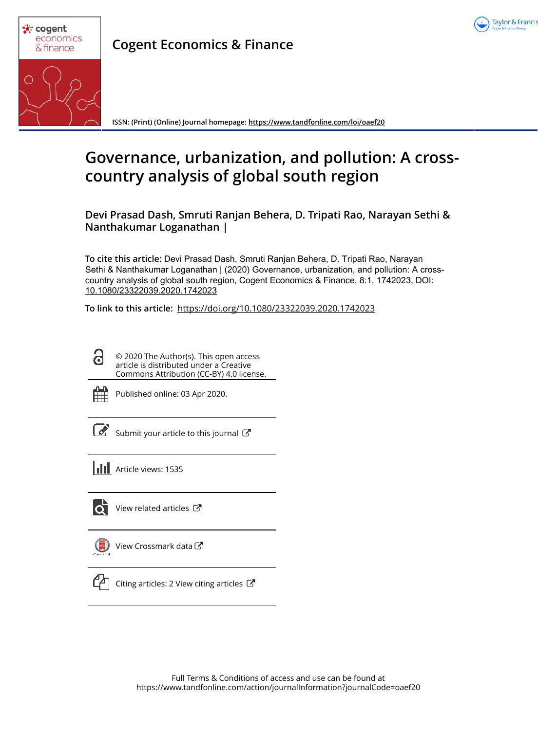



**Cogent Economics & Finance**

**ISSN: (Print) (Online) Journal homepage: https://www.tandfonline.com/loi/oaef20**

# **Governance, urbanization, and pollution: A crosscountry analysis of global south region**

**Devi Prasad Dash, Smruti Ranjan Behera, D. Tripati Rao, Narayan Sethi & Nanthakumar Loganathan |**

**To cite this article:** Devi Prasad Dash, Smruti Ranjan Behera, D. Tripati Rao, Narayan Sethi & Nanthakumar Loganathan | (2020) Governance, urbanization, and pollution: A crosscountry analysis of global south region, Cogent Economics & Finance, 8:1, 1742023, DOI: 10.1080/23322039.2020.1742023

**To link to this article:** https://doi.org/10.1080/23322039.2020.1742023

© 2020 The Author(s). This open access article is distributed under a Creative Commons Attribution (CC-BY) 4.0 license.



G

Published online: 03 Apr 2020.

 $\overline{\mathcal{C}}$  Submit your article to this journal  $\overline{\mathcal{C}}$ 



Гò

View related articles C



View Crossmark data



Citing articles: 2 View citing articles  $\mathbb{Z}$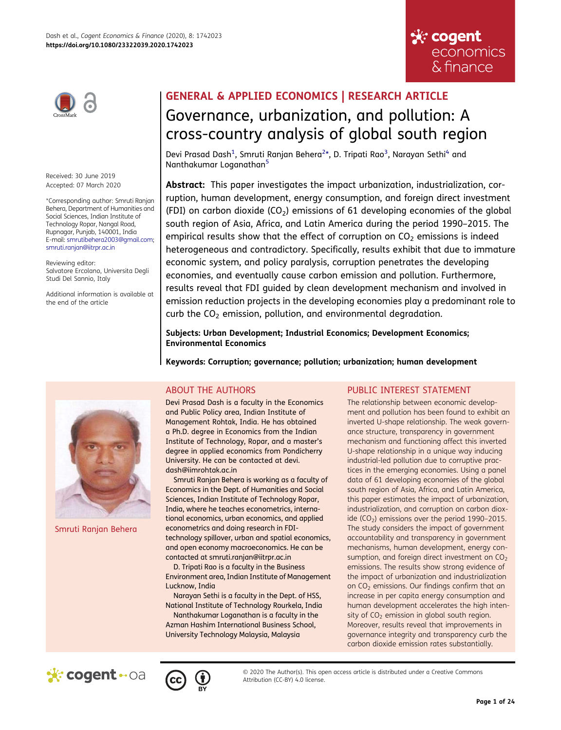



Received: 30 June 2019 Accepted: 07 March 2020

\*Corresponding author: Smruti Ranjan Behera, Department of Humanities and Social Sciences, Indian Institute of Technology Ropar, Nangal Road, Rupnagar, Punjab, 140001, India E-mail: smrutibehera2003@gmail.com; smruti.ranjan@iitrpr.ac.in

Reviewing editor: Salvatore Ercolano, Universita Degli Studi Del Sannio, Italy

Additional information is available at the end of the article

# GENERAL & APPLIED ECONOMICS | RESEARCH ARTICLE Governance, urbanization, and pollution: A cross-country analysis of global south region

Devi Prasad Dash $^1$ , Smruti Ranjan Behera $^{2\star}$ , D. Tripati Rao $^3$ , Narayan Sethi $^4$  and Nanthakumar Loganathan<sup>5</sup>

Abstract: This paper investigates the impact urbanization, industrialization, corruption, human development, energy consumption, and foreign direct investment (FDI) on carbon dioxide (CO<sub>2</sub>) emissions of 61 developing economies of the global south region of Asia, Africa, and Latin America during the period 1990–2015. The empirical results show that the effect of corruption on  $CO<sub>2</sub>$  emissions is indeed heterogeneous and contradictory. Specifically, results exhibit that due to immature economic system, and policy paralysis, corruption penetrates the developing economies, and eventually cause carbon emission and pollution. Furthermore, results reveal that FDI guided by clean development mechanism and involved in emission reduction projects in the developing economies play a predominant role to curb the  $CO<sub>2</sub>$  emission, pollution, and environmental degradation.

Subjects: Urban Development; Industrial Economics; Development Economics; Environmental Economics

Keywords: Corruption; governance; pollution; urbanization; human development



Smruti Ranjan Behera

# ABOUT THE AUTHORS

Devi Prasad Dash is a faculty in the Economics and Public Policy area, Indian Institute of Management Rohtak, India. He has obtained a Ph.D. degree in Economics from the Indian Institute of Technology, Ropar, and a master's degree in applied economics from Pondicherry University. He can be contacted at devi. dash@iimrohtak.ac.in

Smruti Ranjan Behera is working as a faculty of Economics in the Dept. of Humanities and Social Sciences, Indian Institute of Technology Ropar, India, where he teaches econometrics, international economics, urban economics, and applied econometrics and doing research in FDItechnology spillover, urban and spatial economics, and open economy macroeconomics. He can be contacted at smruti.ranjan@iitrpr.ac.in

D. Tripati Rao is a faculty in the Business Environment area, Indian Institute of Management Lucknow, India

Narayan Sethi is a faculty in the Dept. of HSS, National Institute of Technology Rourkela, India

Nanthakumar Loganathan is a faculty in the Azman Hashim International Business School, University Technology Malaysia, Malaysia

# PUBLIC INTEREST STATEMENT

The relationship between economic development and pollution has been found to exhibit an inverted U-shape relationship. The weak governance structure, transparency in government mechanism and functioning affect this inverted U-shape relationship in a unique way inducing industrial-led pollution due to corruptive practices in the emerging economies. Using a panel data of 61 developing economies of the global south region of Asia, Africa, and Latin America, this paper estimates the impact of urbanization, industrialization, and corruption on carbon dioxide ( $CO<sub>2</sub>$ ) emissions over the period 1990–2015. The study considers the impact of government accountability and transparency in government mechanisms, human development, energy consumption, and foreign direct investment on  $CO<sub>2</sub>$ emissions. The results show strong evidence of the impact of urbanization and industrialization on CO<sub>2</sub> emissions. Our findings confirm that an increase in per capita energy consumption and human development accelerates the high intensity of  $CO<sub>2</sub>$  emission in global south region. Moreover, results reveal that improvements in governance integrity and transparency curb the carbon dioxide emission rates substantially.





© 2020 The Author(s). This open access article is distributed under a Creative Commons Attribution (CC-BY) 4.0 license.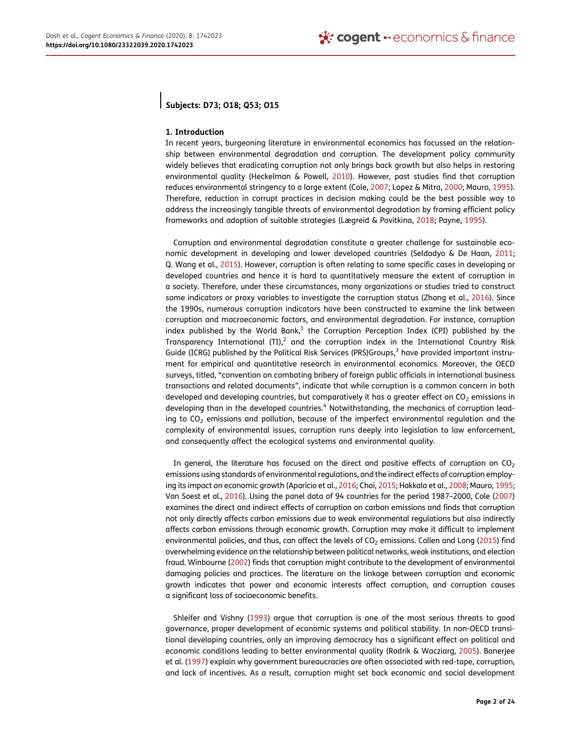# Subjects: D73; O18; Q53; O15

#### 1. Introduction

In recent years, burgeoning literature in environmental economics has focussed on the relationship between environmental degradation and corruption. The development policy community widely believes that eradicating corruption not only brings back growth but also helps in restoring environmental quality (Heckelman & Powell, 2010). However, past studies find that corruption reduces environmental stringency to a large extent (Cole, 2007; Lopez & Mitra, 2000; Mauro, 1995). Therefore, reduction in corrupt practices in decision making could be the best possible way to address the increasingly tangible threats of environmental degradation by framing efficient policy frameworks and adoption of suitable strategies (Lægreid & Povitkina, 2018; Payne, 1995).

Corruption and environmental degradation constitute a greater challenge for sustainable economic development in developing and lower developed countries (Seldadyo & De Haan, 2011; Q. Wang et al., 2015). However, corruption is often relating to some specific cases in developing or developed countries and hence it is hard to quantitatively measure the extent of corruption in a society. Therefore, under these circumstances, many organizations or studies tried to construct some indicators or proxy variables to investigate the corruption status (Zhang et al., 2016). Since the 1990s, numerous corruption indicators have been constructed to examine the link between corruption and macroeconomic factors, and environmental degradation. For instance, corruption index published by the World Bank, $^1$  the Corruption Perception Index (CPI) published by the Transparency International (TI), $^2$  and the corruption index in the International Country Risk Guide (ICRG) published by the Political Risk Services (PRS)Groups,<sup>3</sup> have provided important instrument for empirical and quantitative research in environmental economics. Moreover, the OECD surveys, titled, "convention on combating bribery of foreign public officials in international business transactions and related documents", indicate that while corruption is a common concern in both developed and developing countries, but comparatively it has a greater effect on  $CO<sub>2</sub>$  emissions in developing than in the developed countries.<sup>4</sup> Notwithstanding, the mechanics of corruption leading to  $CO<sub>2</sub>$  emissions and pollution, because of the imperfect environmental regulation and the complexity of environmental issues, corruption runs deeply into legislation to law enforcement, and consequently affect the ecological systems and environmental quality.

In general, the literature has focused on the direct and positive effects of corruption on  $CO<sub>2</sub>$ emissions using standards of environmental regulations, and the indirect effects of corruption employing its impact on economic growth (Aparicio et al., 2016; Choi, 2015; Hakkala et al., 2008; Mauro, 1995; Van Soest et al., 2016). Using the panel data of 94 countries for the period 1987–2000, Cole (2007) examines the direct and indirect effects of corruption on carbon emissions and finds that corruption not only directly affects carbon emissions due to weak environmental regulations but also indirectly affects carbon emissions through economic growth. Corruption may make it difficult to implement environmental policies, and thus, can affect the levels of  $CO<sub>2</sub>$  emissions. Callen and Long (2015) find overwhelming evidence on the relationship between political networks, weak institutions, and election fraud. Winbourne (2002) finds that corruption might contribute to the development of environmental damaging policies and practices. The literature on the linkage between corruption and economic growth indicates that power and economic interests affect corruption, and corruption causes a significant loss of socioeconomic benefits.

Shleifer and Vishny (1993) argue that corruption is one of the most serious threats to good governance, proper development of economic systems and political stability. In non-OECD transitional developing countries, only an improving democracy has a significant effect on political and economic conditions leading to better environmental quality (Rodrik & Wacziarg, 2005). Banerjee et al. (1997) explain why government bureaucracies are often associated with red-tape, corruption, and lack of incentives. As a result, corruption might set back economic and social development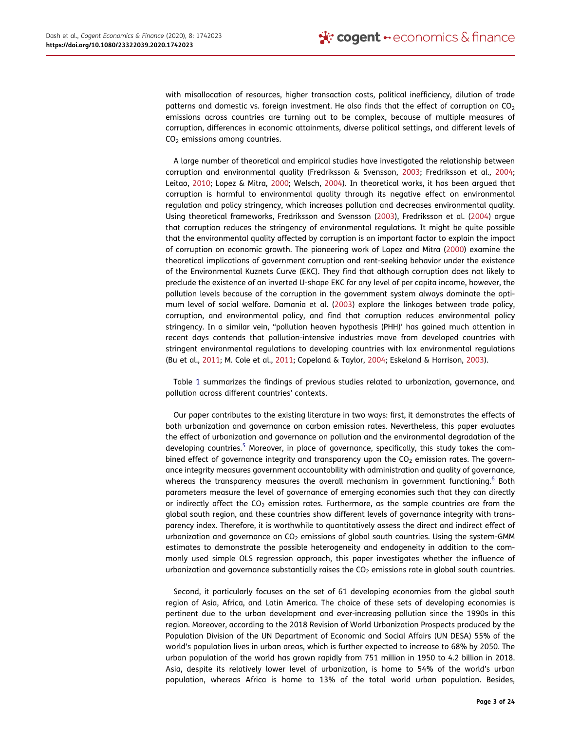with misallocation of resources, higher transaction costs, political inefficiency, dilution of trade patterns and domestic vs. foreign investment. He also finds that the effect of corruption on  $CO<sub>2</sub>$ emissions across countries are turning out to be complex, because of multiple measures of corruption, differences in economic attainments, diverse political settings, and different levels of CO<sub>2</sub> emissions among countries.

A large number of theoretical and empirical studies have investigated the relationship between corruption and environmental quality (Fredriksson & Svensson, 2003; Fredriksson et al., 2004; Leitao, 2010; Lopez & Mitra, 2000; Welsch, 2004). In theoretical works, it has been argued that corruption is harmful to environmental quality through its negative effect on environmental regulation and policy stringency, which increases pollution and decreases environmental quality. Using theoretical frameworks, Fredriksson and Svensson (2003), Fredriksson et al. (2004) argue that corruption reduces the stringency of environmental regulations. It might be quite possible that the environmental quality affected by corruption is an important factor to explain the impact of corruption on economic growth. The pioneering work of Lopez and Mitra (2000) examine the theoretical implications of government corruption and rent-seeking behavior under the existence of the Environmental Kuznets Curve (EKC). They find that although corruption does not likely to preclude the existence of an inverted U-shape EKC for any level of per capita income, however, the pollution levels because of the corruption in the government system always dominate the optimum level of social welfare. Damania et al. (2003) explore the linkages between trade policy, corruption, and environmental policy, and find that corruption reduces environmental policy stringency. In a similar vein, "pollution heaven hypothesis (PHH)' has gained much attention in recent days contends that pollution-intensive industries move from developed countries with stringent environmental regulations to developing countries with lax environmental regulations (Bu et al., 2011; M. Cole et al., 2011; Copeland & Taylor, 2004; Eskeland & Harrison, 2003).

Table 1 summarizes the findings of previous studies related to urbanization, governance, and pollution across different countries' contexts.

Our paper contributes to the existing literature in two ways: first, it demonstrates the effects of both urbanization and governance on carbon emission rates. Nevertheless, this paper evaluates the effect of urbanization and governance on pollution and the environmental degradation of the developing countries.<sup>5</sup> Moreover, in place of governance, specifically, this study takes the combined effect of governance integrity and transparency upon the  $CO<sub>2</sub>$  emission rates. The governance integrity measures government accountability with administration and quality of governance, whereas the transparency measures the overall mechanism in government functioning.<sup>6</sup> Both parameters measure the level of governance of emerging economies such that they can directly or indirectly affect the  $CO<sub>2</sub>$  emission rates. Furthermore, as the sample countries are from the global south region, and these countries show different levels of governance integrity with transparency index. Therefore, it is worthwhile to quantitatively assess the direct and indirect effect of urbanization and governance on  $CO<sub>2</sub>$  emissions of global south countries. Using the system-GMM estimates to demonstrate the possible heterogeneity and endogeneity in addition to the commonly used simple OLS regression approach, this paper investigates whether the influence of urbanization and governance substantially raises the  $CO<sub>2</sub>$  emissions rate in global south countries.

Second, it particularly focuses on the set of 61 developing economies from the global south region of Asia, Africa, and Latin America. The choice of these sets of developing economies is pertinent due to the urban development and ever-increasing pollution since the 1990s in this region. Moreover, according to the 2018 Revision of World Urbanization Prospects produced by the Population Division of the UN Department of Economic and Social Affairs (UN DESA) 55% of the world's population lives in urban areas, which is further expected to increase to 68% by 2050. The urban population of the world has grown rapidly from 751 million in 1950 to 4.2 billion in 2018. Asia, despite its relatively lower level of urbanization, is home to 54% of the world's urban population, whereas Africa is home to 13% of the total world urban population. Besides,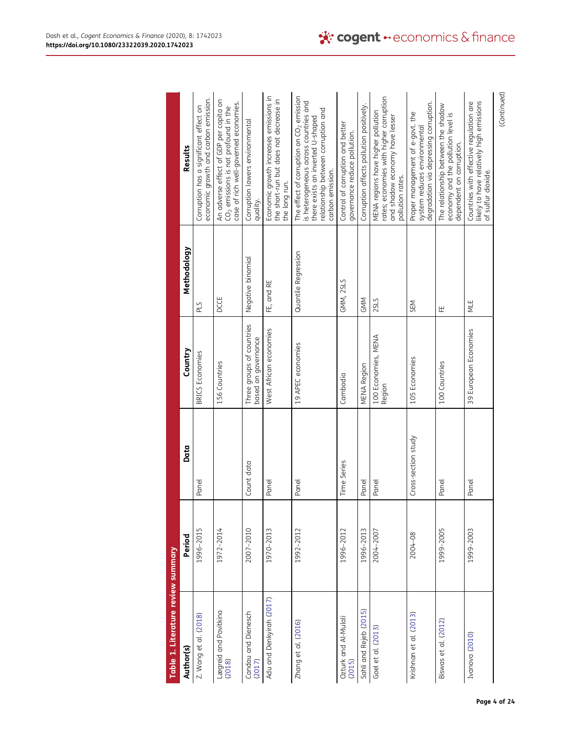| Table 1. Literature review summary |           |                     |                                                  |                     |                                                                                                                                                                                     |
|------------------------------------|-----------|---------------------|--------------------------------------------------|---------------------|-------------------------------------------------------------------------------------------------------------------------------------------------------------------------------------|
| Author(s)                          | Period    | Data                | Country                                          | Methodology         | Results                                                                                                                                                                             |
| Z. Wang et al. (2018)              | 1996-2015 | Panel               | <b>BRICS</b> Economies                           | PLS                 | economic growth and carbon emission.<br>Corruption has a significant effect on                                                                                                      |
| Lægreid and Povitkina<br>(2018)    | 1972-2014 |                     | 156 Countries                                    | DCCE                | An adverse effect of GDP per capita on<br>case of rich well-governed economies.<br>CO <sub>2</sub> emissions is not profound in the                                                 |
| Candau and Dienesch<br>(2017)      | 2007-2010 | Count data          | Three groups of countries<br>based on governance | Negative binomial   | Corruption lowers environmental<br>quality.                                                                                                                                         |
| Adu and Denkyirah (2017)           | 1970-2013 | Panel               | West African economies                           | FE, and RE          | Economic growth increases emissions in<br>the short-run but does not decrease in<br>the long run.                                                                                   |
| Zhang et al. (2016)                | 1992-2012 | Panel               | 19 APEC economies                                | Quantile Regression | The effect of corruption on $CO2$ emission<br>is heterogeneous across countries and<br>relationship between corruption and<br>there exists an inverted U-shaped<br>carbon emission. |
| Ozturk and Al-Mulali<br>(2015)     | 1996-2012 | Time Series         | Cambodia                                         | GMM, 2SLS           | Control of corruption and better<br>governance reduce pollution.                                                                                                                    |
| Sahli and Rejeb (2015)             | 1996-2013 | Panel               | <b>MENA Region</b>                               | GMM                 | Corruption affects pollution positively.                                                                                                                                            |
| Goel et al. (2013)                 | 2004-2007 | Panel               | 100 Economies, MENA<br>Region                    | <b>2SLS</b>         | rates; economies with higher corruption<br>MENA regions have higher pollution<br>and shadow economy have lesser<br>pollution rates.                                                 |
| Krishnan et al. (2013)             | 2004-08   | Cross-section study | 105 Economies                                    | SEM                 | degradation via depressing corruption.<br>Proper management of e-govt. the<br>system reduces environmental                                                                          |
| Biswas et al. (2012)               | 1999-2005 | Panel               | 100 Countries                                    | 땊                   | The relationship between the shadow<br>economy and the pollution level is<br>dependent on corruption.                                                                               |
| Ivanova (2010)                     | 1999-2003 | Panel               | 39 European Economies                            | ψE                  | likely to have relatively high emissions<br>Countries with effective regulation are<br>of sulfur dioxide.                                                                           |
|                                    |           |                     |                                                  |                     | (Continued)                                                                                                                                                                         |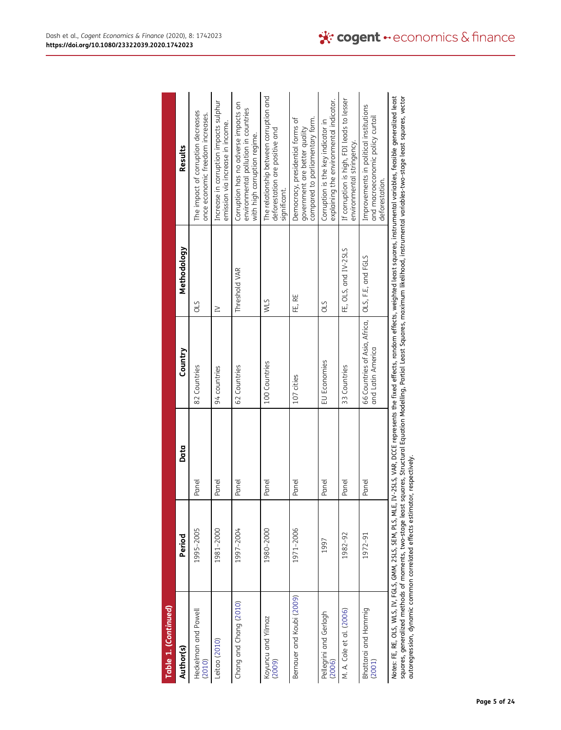| Table 1. (Continued)                                                        |                                                                                   |       |                                                    |                      |                                                                                                                                                                                                                                                                      |
|-----------------------------------------------------------------------------|-----------------------------------------------------------------------------------|-------|----------------------------------------------------|----------------------|----------------------------------------------------------------------------------------------------------------------------------------------------------------------------------------------------------------------------------------------------------------------|
| Author(s)                                                                   | Period                                                                            | Data  | Country                                            | Methodology          | Results                                                                                                                                                                                                                                                              |
| Heckelman and Powell<br>(2010)                                              | 1995-2005                                                                         | Panel | 82 Countries                                       | STO                  | The impact of corruption decreases<br>once economic freedom increases.                                                                                                                                                                                               |
| eitao (2010)                                                                | 1981-2000                                                                         | Panel | 94 countries                                       | $\geq$               | Increase in corruption impacts sulphur<br>emission via increase in income.                                                                                                                                                                                           |
| Chang and Chang (2010)                                                      | 1997-2004                                                                         | Panel | 62 Countries                                       | Threshold VAR        | Corruption has no adverse impacts on<br>environmental pollution in countries<br>with high corruption regime.                                                                                                                                                         |
| Koyuncu and Yilmaz<br>(2009)                                                | 1980-2000                                                                         | Panel | 100 Countries                                      | <b>WLS</b>           | The relationship between corruption and<br>deforestation are positive and<br>signiticant.                                                                                                                                                                            |
| Bernauer and Koubi (2009)                                                   | 1971-2006                                                                         | Panel | 107 cities                                         | FE, RE               | compared to parliamentary form.<br>Democracy, presidential forms of<br>qovernment are better quality                                                                                                                                                                 |
| Pellegrini and Gerlagh<br>(2006)                                            | 1997                                                                              | Panel | EU Economies                                       | <b>OLS</b>           | explaining the environmental indicator.<br>Corruption is the key indicator in                                                                                                                                                                                        |
| M. A. Cole et al. (2006)                                                    | 1982-92                                                                           | Panel | 33 Countries                                       | FE, OLS, and IV-2SLS | If corruption is high, FDI leads to lesser<br>environmental stringency.                                                                                                                                                                                              |
| Bhattarai and Hammig<br>(2001)                                              | 1972-91                                                                           | Panel | 66 Countries of Asia, Africa,<br>and Latin America | OLS, F.E, and FGLS   | Improvements in political institutions<br>and macroeconomic policy curtail<br>detorestation.                                                                                                                                                                         |
| Notes: FE, RE, OLS, WLS, IV, FGLS, GMM, 2SLS, SEM, PLS, MLE,<br><b>תומי</b> | ttp://ttp://ttp://ttp://ttp://ttp://ttp://ttp://ttp://ttp://ttp://ttp://ttp://ttp |       |                                                    |                      | IV-2SLS, VAR, DCCE represents the fixed effects, random effects, weighted least squares, instrumental variables, feasible generalized least<br><b>このたくに、いろところい。たちの一くでスキャン・ニュー・リームでごと、一てすることもに、これをこれに、これに「ことにころ」ということの「ことに」ということになっているのです。これには、これには、これに こうこう こうこう</b> |

|                                                                                                                                                                        | uel ol est                                                     |
|------------------------------------------------------------------------------------------------------------------------------------------------------------------------|----------------------------------------------------------------|
| -2SLS, VAR, DCCE represents the fixed effects, random effects, weighted least squares, instrumental<br>Votes: FE, RE, OLS, WLS, IV, FGLS, GMM, 2SLS, SEM, PLS, MLE, IN | east<br>l variables, teasibl                                   |
| uares, Structural Equation Modelling, Partial Least Squares, maximum li'<br>squares, generalized methods of moments, two-stage least squ                               | lihood, instrumental variables-two-stage least squares, vector |
| )<br>)<br>)<br>utoregression, dynamic common correlated effects estimator.                                                                                             |                                                                |
|                                                                                                                                                                        |                                                                |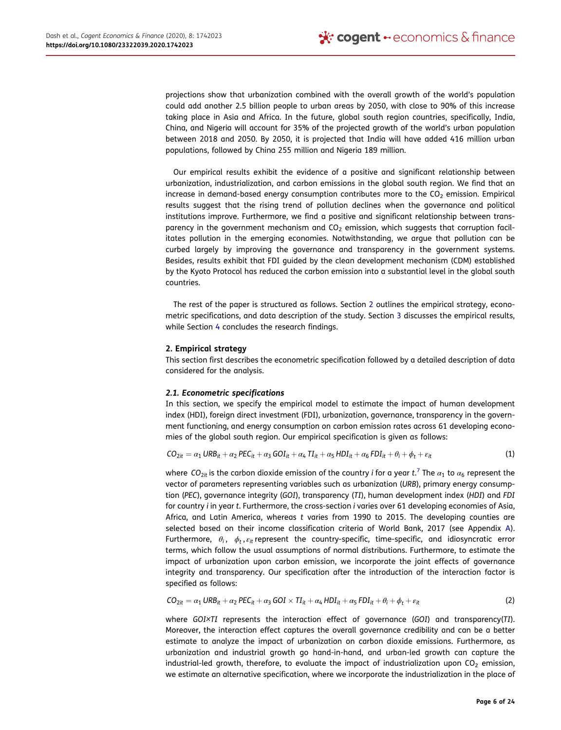projections show that urbanization combined with the overall growth of the world's population could add another 2.5 billion people to urban areas by 2050, with close to 90% of this increase taking place in Asia and Africa. In the future, global south region countries, specifically, India, China, and Nigeria will account for 35% of the projected growth of the world's urban population between 2018 and 2050. By 2050, it is projected that India will have added 416 million urban populations, followed by China 255 million and Nigeria 189 million.

Our empirical results exhibit the evidence of a positive and significant relationship between urbanization, industrialization, and carbon emissions in the global south region. We find that an increase in demand-based energy consumption contributes more to the  $CO<sub>2</sub>$  emission. Empirical results suggest that the rising trend of pollution declines when the governance and political institutions improve. Furthermore, we find a positive and significant relationship between transparency in the government mechanism and  $CO<sub>2</sub>$  emission, which suggests that corruption facilitates pollution in the emerging economies. Notwithstanding, we argue that pollution can be curbed largely by improving the governance and transparency in the government systems. Besides, results exhibit that FDI guided by the clean development mechanism (CDM) established by the Kyoto Protocol has reduced the carbon emission into a substantial level in the global south countries.

The rest of the paper is structured as follows. Section 2 outlines the empirical strategy, econometric specifications, and data description of the study. Section 3 discusses the empirical results, while Section 4 concludes the research findings.

## 2. Empirical strategy

This section first describes the econometric specification followed by a detailed description of data considered for the analysis.

## 2.1. Econometric specifications

In this section, we specify the empirical model to estimate the impact of human development index (HDI), foreign direct investment (FDI), urbanization, governance, transparency in the government functioning, and energy consumption on carbon emission rates across 61 developing economies of the global south region. Our empirical specification is given as follows:

$$
CO_{2it} = \alpha_1 \text{ URB}_{it} + \alpha_2 \text{ PEC}_{it} + \alpha_3 \text{ GOI}_{it} + \alpha_4 \text{ TI}_{it} + \alpha_5 \text{ HDI}_{it} + \alpha_6 \text{ FDI}_{it} + \theta_i + \phi_t + \varepsilon_{it}
$$
\n(1)

where  $\emph{CO}_{2it}$  is the carbon dioxide emission of the country  $i$  for a year  $t.^7$  The  $\alpha_1$  to  $\alpha_6$  represent the vector of parameters representing variables such as urbanization (URB), primary energy consumption (PEC), governance integrity (GOI), transparency (TI), human development index (HDI) and FDI for country i in year t. Furthermore, the cross-section i varies over 61 developing economies of Asia, Africa, and Latin America, whereas t varies from 1990 to 2015. The developing counties are selected based on their income classification criteria of World Bank, 2017 (see Appendix A). Furthermore,  $\theta_i$ ,  $\phi_t$ , $\varepsilon_{it}$  represent the country-specific, time-specific, and idiosyncratic error terms, which follow the usual assumptions of normal distributions. Furthermore, to estimate the impact of urbanization upon carbon emission, we incorporate the joint effects of governance integrity and transparency. Our specification after the introduction of the interaction factor is specified as follows:

$$
CO_{2it} = \alpha_1 \text{ URB}_{it} + \alpha_2 \text{ PEC}_{it} + \alpha_3 \text{ GOI} \times \text{TI}_{it} + \alpha_4 \text{ HDI}_{it} + \alpha_5 \text{ FDI}_{it} + \theta_i + \phi_t + \varepsilon_{it}
$$
 (2)

where GOI×TI represents the interaction effect of governance (GOI) and transparency(TI). Moreover, the interaction effect captures the overall governance credibility and can be a better estimate to analyze the impact of urbanization on carbon dioxide emissions. Furthermore, as urbanization and industrial growth go hand-in-hand, and urban-led growth can capture the industrial-led growth, therefore, to evaluate the impact of industrialization upon  $CO<sub>2</sub>$  emission, we estimate an alternative specification, where we incorporate the industrialization in the place of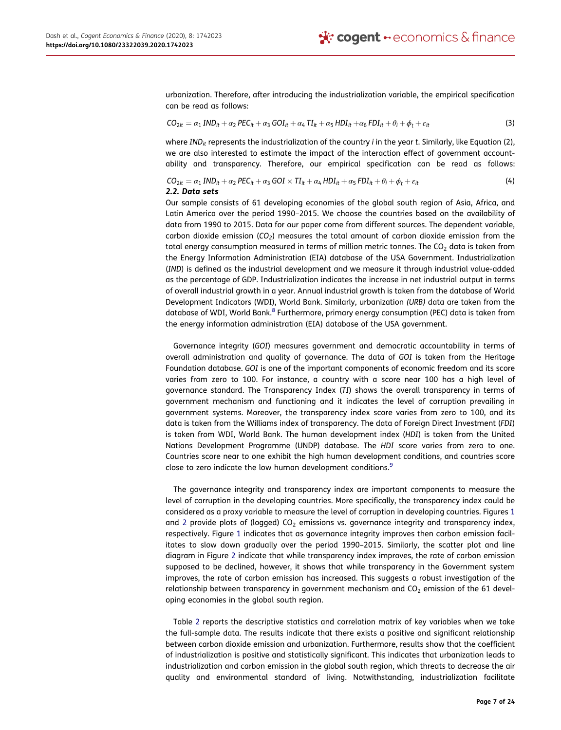urbanization. Therefore, after introducing the industrialization variable, the empirical specification can be read as follows:

$$
CO_{2it} = \alpha_1 \, IND_{it} + \alpha_2 \, PEC_{it} + \alpha_3 \, GOI_{it} + \alpha_4 \, TI_{it} + \alpha_5 \, HDI_{it} + \alpha_6 \, FDI_{it} + \theta_i + \phi_t + \varepsilon_{it}
$$
\n
$$
\tag{3}
$$

where IND<sub>it</sub> represents the industrialization of the country *i* in the year t. Similarly, like Equation (2), we are also interested to estimate the impact of the interaction effect of government accountability and transparency. Therefore, our empirical specification can be read as follows:

## $CO_{2it} = \alpha_1 IND_{it} + \alpha_2 PEC_{it} + \alpha_3 GOI \times TI_{it} + \alpha_4 HDI_{it} + \alpha_5 FDI_{it} + \theta_i + \theta_i + \epsilon_{it}$  (4) 2.2. Data sets

Our sample consists of 61 developing economies of the global south region of Asia, Africa, and Latin America over the period 1990–2015. We choose the countries based on the availability of data from 1990 to 2015. Data for our paper come from different sources. The dependent variable, carbon dioxide emission ( $CO<sub>2</sub>$ ) measures the total amount of carbon dioxide emission from the total energy consumption measured in terms of million metric tonnes. The  $CO<sub>2</sub>$  data is taken from the Energy Information Administration (EIA) database of the USA Government. Industrialization (IND) is defined as the industrial development and we measure it through industrial value-added as the percentage of GDP. Industrialization indicates the increase in net industrial output in terms of overall industrial growth in a year. Annual industrial growth is taken from the database of World Development Indicators (WDI), World Bank. Similarly, urbanization (URB) data are taken from the database of WDI, World Bank.<sup>8</sup> Furthermore, primary energy consumption (PEC) data is taken from the energy information administration (EIA) database of the USA government.

Governance integrity (GOI) measures government and democratic accountability in terms of overall administration and quality of governance. The data of GOI is taken from the Heritage Foundation database. GOI is one of the important components of economic freedom and its score varies from zero to 100. For instance, a country with a score near 100 has a high level of governance standard. The Transparency Index (TI) shows the overall transparency in terms of government mechanism and functioning and it indicates the level of corruption prevailing in government systems. Moreover, the transparency index score varies from zero to 100, and its data is taken from the Williams index of transparency. The data of Foreign Direct Investment (FDI) is taken from WDI, World Bank. The human development index (HDI) is taken from the United Nations Development Programme (UNDP) database. The HDI score varies from zero to one. Countries score near to one exhibit the high human development conditions, and countries score close to zero indicate the low human development conditions.<sup>9</sup>

The governance integrity and transparency index are important components to measure the level of corruption in the developing countries. More specifically, the transparency index could be considered as a proxy variable to measure the level of corruption in developing countries. Figures 1 and 2 provide plots of (logged)  $CO<sub>2</sub>$  emissions vs. governance integrity and transparency index, respectively. Figure 1 indicates that as governance integrity improves then carbon emission facilitates to slow down gradually over the period 1990–2015. Similarly, the scatter plot and line diagram in Figure 2 indicate that while transparency index improves, the rate of carbon emission supposed to be declined, however, it shows that while transparency in the Government system improves, the rate of carbon emission has increased. This suggests a robust investigation of the relationship between transparency in government mechanism and  $CO<sub>2</sub>$  emission of the 61 developing economies in the global south region.

Table 2 reports the descriptive statistics and correlation matrix of key variables when we take the full-sample data. The results indicate that there exists a positive and significant relationship between carbon dioxide emission and urbanization. Furthermore, results show that the coefficient of industrialization is positive and statistically significant. This indicates that urbanization leads to industrialization and carbon emission in the global south region, which threats to decrease the air quality and environmental standard of living. Notwithstanding, industrialization facilitate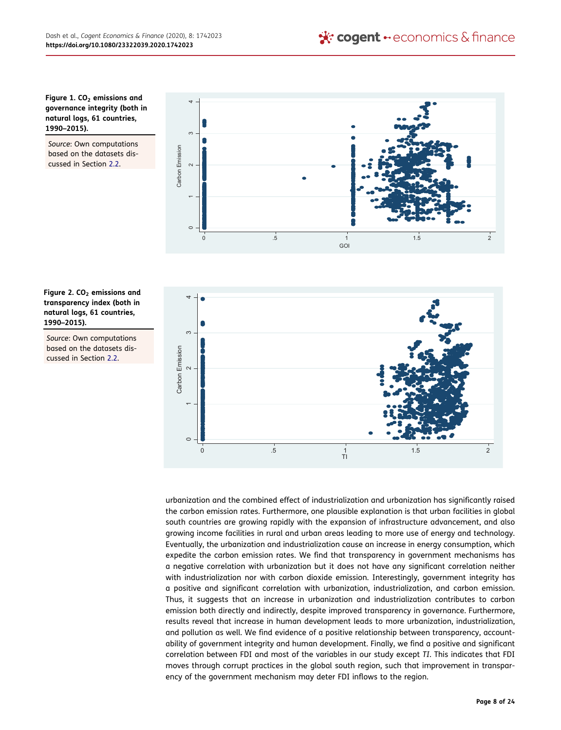## Figure 1.  $CO<sub>2</sub>$  emissions and governance integrity (both in natural logs, 61 countries, 1990–2015).

Source: Own computations based on the datasets discussed in Section 2.2.





Source: Own computations based on the datasets discussed in Section 2.2.



urbanization and the combined effect of industrialization and urbanization has significantly raised the carbon emission rates. Furthermore, one plausible explanation is that urban facilities in global south countries are growing rapidly with the expansion of infrastructure advancement, and also growing income facilities in rural and urban areas leading to more use of energy and technology. Eventually, the urbanization and industrialization cause an increase in energy consumption, which expedite the carbon emission rates. We find that transparency in government mechanisms has a negative correlation with urbanization but it does not have any significant correlation neither with industrialization nor with carbon dioxide emission. Interestingly, government integrity has a positive and significant correlation with urbanization, industrialization, and carbon emission. Thus, it suggests that an increase in urbanization and industrialization contributes to carbon emission both directly and indirectly, despite improved transparency in governance. Furthermore, results reveal that increase in human development leads to more urbanization, industrialization, and pollution as well. We find evidence of a positive relationship between transparency, accountability of government integrity and human development. Finally, we find a positive and significant correlation between FDI and most of the variables in our study except TI. This indicates that FDI moves through corrupt practices in the global south region, such that improvement in transparency of the government mechanism may deter FDI inflows to the region.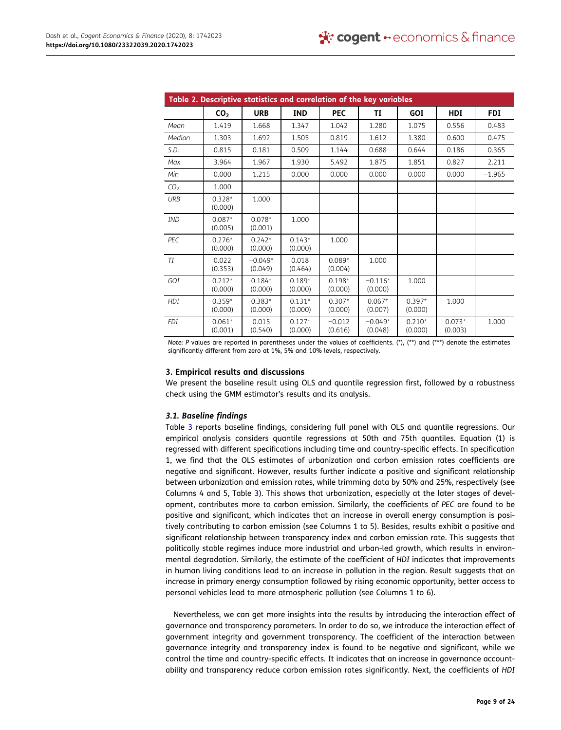|                 |                     |                      | Table 2. Descriptive statistics and correlation of the key variables |                     |                      |                     |                     |            |
|-----------------|---------------------|----------------------|----------------------------------------------------------------------|---------------------|----------------------|---------------------|---------------------|------------|
|                 | CO <sub>2</sub>     | <b>URB</b>           | <b>IND</b>                                                           | <b>PEC</b>          | TI                   | GOI                 | <b>HDI</b>          | <b>FDI</b> |
| Mean            | 1.419               | 1.668                | 1.347                                                                | 1.042               | 1.280                | 1.075               | 0.556               | 0.483      |
| Median          | 1.303               | 1.692                | 1.505                                                                | 0.819               | 1.612                | 1.380               | 0.600               | 0.475      |
| S.D.            | 0.815               | 0.181                | 0.509                                                                | 1.144               | 0.688                | 0.644               | 0.186               | 0.365      |
| Max             | 3.964               | 1.967                | 1.930                                                                | 5.492               | 1.875                | 1.851               | 0.827               | 2.211      |
| Min             | 0.000               | 1.215                | 0.000                                                                | 0.000               | 0.000                | 0.000               | 0.000               | $-1.965$   |
| CO <sub>2</sub> | 1.000               |                      |                                                                      |                     |                      |                     |                     |            |
| <b>URB</b>      | $0.328*$<br>(0.000) | 1.000                |                                                                      |                     |                      |                     |                     |            |
| IND             | $0.087*$<br>(0.005) | $0.078*$<br>(0.001)  | 1.000                                                                |                     |                      |                     |                     |            |
| PEC             | $0.276*$<br>(0.000) | $0.242*$<br>(0.000)  | $0.143*$<br>(0.000)                                                  | 1.000               |                      |                     |                     |            |
| TI              | 0.022<br>(0.353)    | $-0.049*$<br>(0.049) | 0.018<br>(0.464)                                                     | $0.089*$<br>(0.004) | 1.000                |                     |                     |            |
| GOI             | $0.212*$<br>(0.000) | $0.184*$<br>(0.000)  | $0.189*$<br>(0.000)                                                  | $0.198*$<br>(0.000) | $-0.116*$<br>(0.000) | 1.000               |                     |            |
| HDI             | $0.359*$<br>(0.000) | $0.383*$<br>(0.000)  | $0.131*$<br>(0.000)                                                  | $0.307*$<br>(0.000) | $0.067*$<br>(0.007)  | $0.397*$<br>(0.000) | 1.000               |            |
| FDI             | $0.061*$<br>(0.001) | 0.015<br>(0.540)     | $0.127*$<br>(0.000)                                                  | $-0.012$<br>(0.616) | $-0.049*$<br>(0.048) | $0.210*$<br>(0.000) | $0.073*$<br>(0.003) | 1.000      |

Note: P values are reported in parentheses under the values of coefficients. (\*), (\*\*) and (\*\*\*) denote the estimates significantly different from zero at 1%, 5% and 10% levels, respectively.

## 3. Empirical results and discussions

We present the baseline result using OLS and quantile regression first, followed by a robustness check using the GMM estimator's results and its analysis.

# 3.1. Baseline findings

Table 3 reports baseline findings, considering full panel with OLS and quantile regressions. Our empirical analysis considers quantile regressions at 50th and 75th quantiles. Equation (1) is regressed with different specifications including time and country-specific effects. In specification 1, we find that the OLS estimates of urbanization and carbon emission rates coefficients are negative and significant. However, results further indicate a positive and significant relationship between urbanization and emission rates, while trimming data by 50% and 25%, respectively (see Columns 4 and 5, Table 3). This shows that urbanization, especially at the later stages of development, contributes more to carbon emission. Similarly, the coefficients of PEC are found to be positive and significant, which indicates that an increase in overall energy consumption is positively contributing to carbon emission (see Columns 1 to 5). Besides, results exhibit a positive and significant relationship between transparency index and carbon emission rate. This suggests that politically stable regimes induce more industrial and urban-led growth, which results in environmental degradation. Similarly, the estimate of the coefficient of HDI indicates that improvements in human living conditions lead to an increase in pollution in the region. Result suggests that an increase in primary energy consumption followed by rising economic opportunity, better access to personal vehicles lead to more atmospheric pollution (see Columns 1 to 6).

Nevertheless, we can get more insights into the results by introducing the interaction effect of governance and transparency parameters. In order to do so, we introduce the interaction effect of government integrity and government transparency. The coefficient of the interaction between governance integrity and transparency index is found to be negative and significant, while we control the time and country-specific effects. It indicates that an increase in governance accountability and transparency reduce carbon emission rates significantly. Next, the coefficients of HDI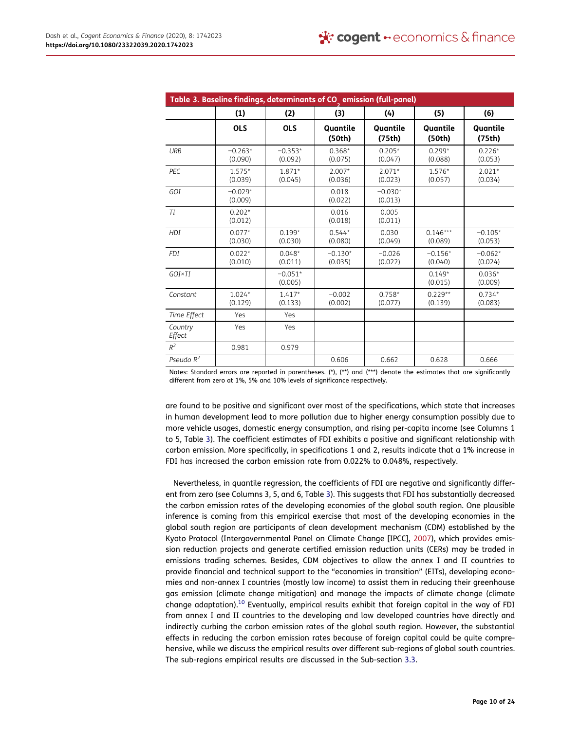|                   | Table 3. Baseline findings, determinants of CO emission (full-panel) |                      |                      |                      |                       |                      |
|-------------------|----------------------------------------------------------------------|----------------------|----------------------|----------------------|-----------------------|----------------------|
|                   | (1)                                                                  | (2)                  | (3)                  | (4)                  | (5)                   | (6)                  |
|                   | <b>OLS</b>                                                           | <b>OLS</b>           | Quantile<br>(50th)   | Quantile<br>(75th)   | Quantile<br>(50th)    | Quantile<br>(75th)   |
| <b>URB</b>        | $-0.263*$<br>(0.090)                                                 | $-0.353*$<br>(0.092) | $0.368*$<br>(0.075)  | $0.205*$<br>(0.047)  | $0.299*$<br>(0.088)   | $0.226*$<br>(0.053)  |
| PEC               | $1.575*$<br>(0.039)                                                  | $1.871*$<br>(0.045)  | $2.007*$<br>(0.036)  | $2.071*$<br>(0.023)  | $1.576*$<br>(0.057)   | $2.021*$<br>(0.034)  |
| GOI               | $-0.029*$<br>(0.009)                                                 |                      | 0.018<br>(0.022)     | $-0.030*$<br>(0.013) |                       |                      |
| TI                | $0.202*$<br>(0.012)                                                  |                      | 0.016<br>(0.018)     | 0.005<br>(0.011)     |                       |                      |
| HDI               | $0.077*$<br>(0.030)                                                  | $0.199*$<br>(0.030)  | $0.544*$<br>(0.080)  | 0.030<br>(0.049)     | $0.146***$<br>(0.089) | $-0.105*$<br>(0.053) |
| <b>FDI</b>        | $0.022*$<br>(0.010)                                                  | $0.048*$<br>(0.011)  | $-0.130*$<br>(0.035) | $-0.026$<br>(0.022)  | $-0.156*$<br>(0.040)  | $-0.062*$<br>(0.024) |
| GOI×TI            |                                                                      | $-0.051*$<br>(0.005) |                      |                      | $0.149*$<br>(0.015)   | $0.036*$<br>(0.009)  |
| Constant          | $1.024*$<br>(0.129)                                                  | $1.417*$<br>(0.133)  | $-0.002$<br>(0.002)  | $0.758*$<br>(0.077)  | $0.229**$<br>(0.139)  | $0.734*$<br>(0.083)  |
| Time Effect       | Yes                                                                  | Yes                  |                      |                      |                       |                      |
| Country<br>Effect | Yes                                                                  | Yes                  |                      |                      |                       |                      |
| $R^2$             | 0.981                                                                | 0.979                |                      |                      |                       |                      |
| Pseudo $R^2$      |                                                                      |                      | 0.606                | 0.662                | 0.628                 | 0.666                |

Notes: Standard errors are reported in parentheses. (\*), (\*\*) and (\*\*\*) denote the estimates that are significantly different from zero at 1%, 5% and 10% levels of significance respectively.

are found to be positive and significant over most of the specifications, which state that increases in human development lead to more pollution due to higher energy consumption possibly due to more vehicle usages, domestic energy consumption, and rising per-capita income (see Columns 1 to 5, Table 3). The coefficient estimates of FDI exhibits a positive and significant relationship with carbon emission. More specifically, in specifications 1 and 2, results indicate that a 1% increase in FDI has increased the carbon emission rate from 0.022% to 0.048%, respectively.

Nevertheless, in quantile regression, the coefficients of FDI are negative and significantly different from zero (see Columns 3, 5, and 6, Table 3). This suggests that FDI has substantially decreased the carbon emission rates of the developing economies of the global south region. One plausible inference is coming from this empirical exercise that most of the developing economies in the global south region are participants of clean development mechanism (CDM) established by the Kyoto Protocol (Intergovernmental Panel on Climate Change [IPCC], 2007), which provides emission reduction projects and generate certified emission reduction units (CERs) may be traded in emissions trading schemes. Besides, CDM objectives to allow the annex I and II countries to provide financial and technical support to the "economies in transition" (EITs), developing economies and non-annex I countries (mostly low income) to assist them in reducing their greenhouse gas emission (climate change mitigation) and manage the impacts of climate change (climate change adaptation).<sup>10</sup> Eventually, empirical results exhibit that foreign capital in the way of FDI from annex I and II countries to the developing and low developed countries have directly and indirectly curbing the carbon emission rates of the global south region. However, the substantial effects in reducing the carbon emission rates because of foreign capital could be quite comprehensive, while we discuss the empirical results over different sub-regions of global south countries. The sub-regions empirical results are discussed in the Sub-section 3.3.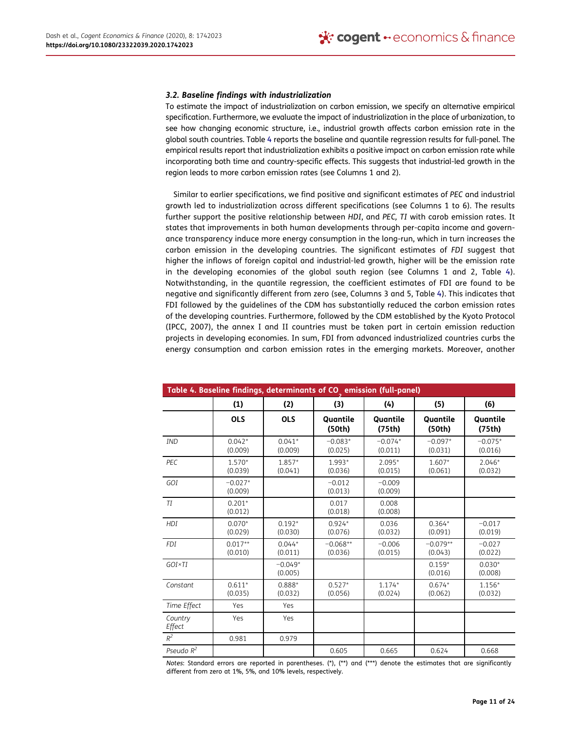#### 3.2. Baseline findings with industrialization

To estimate the impact of industrialization on carbon emission, we specify an alternative empirical specification. Furthermore, we evaluate the impact of industrialization in the place of urbanization, to see how changing economic structure, i.e., industrial growth affects carbon emission rate in the global south countries. Table 4 reports the baseline and quantile regression results for full-panel. The empirical results report that industrialization exhibits a positive impact on carbon emission rate while incorporating both time and country-specific effects. This suggests that industrial-led growth in the region leads to more carbon emission rates (see Columns 1 and 2).

Similar to earlier specifications, we find positive and significant estimates of PEC and industrial growth led to industrialization across different specifications (see Columns 1 to 6). The results further support the positive relationship between HDI, and PEC, TI with carob emission rates. It states that improvements in both human developments through per-capita income and governance transparency induce more energy consumption in the long-run, which in turn increases the carbon emission in the developing countries. The significant estimates of FDI suggest that higher the inflows of foreign capital and industrial-led growth, higher will be the emission rate in the developing economies of the global south region (see Columns 1 and 2, Table 4). Notwithstanding, in the quantile regression, the coefficient estimates of FDI are found to be negative and significantly different from zero (see, Columns 3 and 5, Table 4). This indicates that FDI followed by the guidelines of the CDM has substantially reduced the carbon emission rates of the developing countries. Furthermore, followed by the CDM established by the Kyoto Protocol (IPCC, 2007), the annex I and II countries must be taken part in certain emission reduction projects in developing economies. In sum, FDI from advanced industrialized countries curbs the energy consumption and carbon emission rates in the emerging markets. Moreover, another

|                   | Table 4. Baseline findings, determinants of CO emission (full-panel) |                      |                       |                      |                       |                      |
|-------------------|----------------------------------------------------------------------|----------------------|-----------------------|----------------------|-----------------------|----------------------|
|                   | (1)                                                                  | (2)                  | (3)                   | (4)                  | (5)                   | (6)                  |
|                   | <b>OLS</b>                                                           | <b>OLS</b>           | Quantile<br>(50th)    | Quantile<br>(75th)   | Quantile<br>(50th)    | Quantile<br>(75th)   |
| <b>IND</b>        | $0.042*$<br>(0.009)                                                  | $0.041*$<br>(0.009)  | $-0.083*$<br>(0.025)  | $-0.074*$<br>(0.011) | $-0.097*$<br>(0.031)  | $-0.075*$<br>(0.016) |
| PEC               | $1.570*$<br>(0.039)                                                  | $1.857*$<br>(0.041)  | 1.993*<br>(0.036)     | $2.095*$<br>(0.015)  | $1.607*$<br>(0.061)   | $2.046*$<br>(0.032)  |
| GOI               | $-0.027*$<br>(0.009)                                                 |                      | $-0.012$<br>(0.013)   | $-0.009$<br>(0.009)  |                       |                      |
| T I               | $0.201*$<br>(0.012)                                                  |                      | 0.017<br>(0.018)      | 0.008<br>(0.008)     |                       |                      |
| <b>HDI</b>        | $0.070*$<br>(0.029)                                                  | $0.192*$<br>(0.030)  | $0.924*$<br>(0.076)   | 0.036<br>(0.032)     | $0.364*$<br>(0.091)   | $-0.017$<br>(0.019)  |
| <b>FDI</b>        | $0.017**$<br>(0.010)                                                 | $0.044*$<br>(0.011)  | $-0.068**$<br>(0.036) | $-0.006$<br>(0.015)  | $-0.079**$<br>(0.043) | $-0.027$<br>(0.022)  |
| GOI×TI            |                                                                      | $-0.049*$<br>(0.005) |                       |                      | $0.159*$<br>(0.016)   | $0.030*$<br>(0.008)  |
| Constant          | $0.611*$<br>(0.035)                                                  | $0.888*$<br>(0.032)  | $0.527*$<br>(0.056)   | $1.174*$<br>(0.024)  | $0.674*$<br>(0.062)   | $1.156*$<br>(0.032)  |
| Time Effect       | Yes                                                                  | Yes                  |                       |                      |                       |                      |
| Country<br>Effect | Yes                                                                  | Yes                  |                       |                      |                       |                      |
| $R^2$             | 0.981                                                                | 0.979                |                       |                      |                       |                      |
| Pseudo $R^2$      |                                                                      |                      | 0.605                 | 0.665                | 0.624                 | 0.668                |

Notes: Standard errors are reported in parentheses. (\*), (\*\*) and (\*\*\*) denote the estimates that are significantly different from zero at 1%, 5%, and 10% levels, respectively.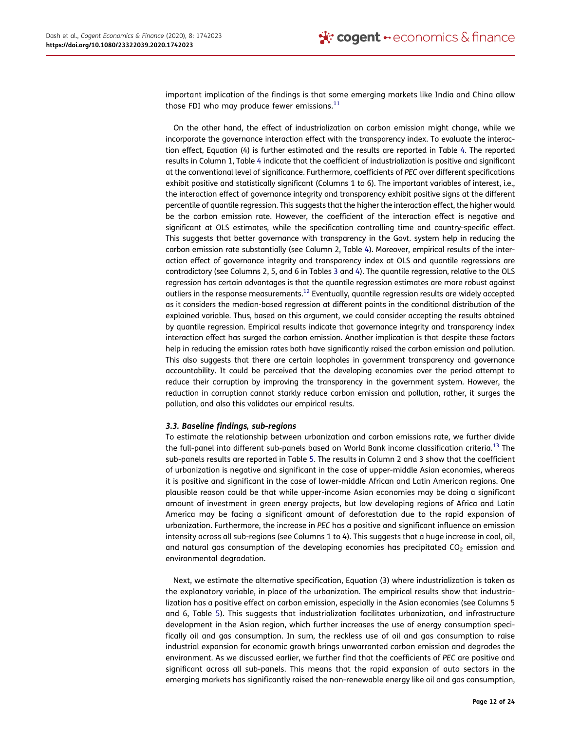important implication of the findings is that some emerging markets like India and China allow those FDI who may produce fewer emissions. $^{11}$ 

On the other hand, the effect of industrialization on carbon emission might change, while we incorporate the governance interaction effect with the transparency index. To evaluate the interaction effect, Equation (4) is further estimated and the results are reported in Table 4. The reported results in Column 1, Table 4 indicate that the coefficient of industrialization is positive and significant at the conventional level of significance. Furthermore, coefficients of PEC over different specifications exhibit positive and statistically significant (Columns 1 to 6). The important variables of interest, i.e., the interaction effect of governance integrity and transparency exhibit positive signs at the different percentile of quantile regression. This suggests that the higher the interaction effect, the higher would be the carbon emission rate. However, the coefficient of the interaction effect is negative and significant at OLS estimates, while the specification controlling time and country-specific effect. This suggests that better governance with transparency in the Govt. system help in reducing the carbon emission rate substantially (see Column 2, Table 4). Moreover, empirical results of the interaction effect of governance integrity and transparency index at OLS and quantile regressions are contradictory (see Columns 2, 5, and 6 in Tables 3 and 4). The quantile regression, relative to the OLS regression has certain advantages is that the quantile regression estimates are more robust against outliers in the response measurements.<sup>12</sup> Eventually, quantile regression results are widely accepted as it considers the median-based regression at different points in the conditional distribution of the explained variable. Thus, based on this argument, we could consider accepting the results obtained by quantile regression. Empirical results indicate that governance integrity and transparency index interaction effect has surged the carbon emission. Another implication is that despite these factors help in reducing the emission rates both have significantly raised the carbon emission and pollution. This also suggests that there are certain loopholes in government transparency and governance accountability. It could be perceived that the developing economies over the period attempt to reduce their corruption by improving the transparency in the government system. However, the reduction in corruption cannot starkly reduce carbon emission and pollution, rather, it surges the pollution, and also this validates our empirical results.

## 3.3. Baseline findings, sub-regions

To estimate the relationship between urbanization and carbon emissions rate, we further divide the full-panel into different sub-panels based on World Bank income classification criteria.<sup>13</sup> The sub-panels results are reported in Table 5. The results in Column 2 and 3 show that the coefficient of urbanization is negative and significant in the case of upper-middle Asian economies, whereas it is positive and significant in the case of lower-middle African and Latin American regions. One plausible reason could be that while upper-income Asian economies may be doing a significant amount of investment in green energy projects, but low developing regions of Africa and Latin America may be facing a significant amount of deforestation due to the rapid expansion of urbanization. Furthermore, the increase in PEC has a positive and significant influence on emission intensity across all sub-regions (see Columns 1 to 4). This suggests that a huge increase in coal, oil, and natural gas consumption of the developing economies has precipitated  $CO<sub>2</sub>$  emission and environmental degradation.

Next, we estimate the alternative specification, Equation (3) where industrialization is taken as the explanatory variable, in place of the urbanization. The empirical results show that industrialization has a positive effect on carbon emission, especially in the Asian economies (see Columns 5 and 6, Table 5). This suggests that industrialization facilitates urbanization, and infrastructure development in the Asian region, which further increases the use of energy consumption specifically oil and gas consumption. In sum, the reckless use of oil and gas consumption to raise industrial expansion for economic growth brings unwarranted carbon emission and degrades the environment. As we discussed earlier, we further find that the coefficients of PEC are positive and significant across all sub-panels. This means that the rapid expansion of auto sectors in the emerging markets has significantly raised the non-renewable energy like oil and gas consumption,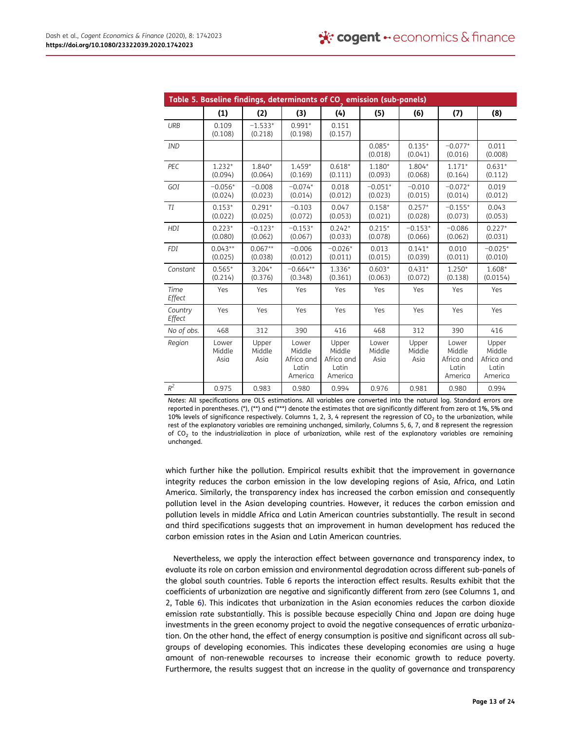|                             |                         |                         | Table 5. Baseline findings, determinants of CO emission (sub-panels) |                                                   |                         |                         |                                                   |                                                   |
|-----------------------------|-------------------------|-------------------------|----------------------------------------------------------------------|---------------------------------------------------|-------------------------|-------------------------|---------------------------------------------------|---------------------------------------------------|
|                             | (1)                     | (2)                     | (3)                                                                  | (4)                                               | (5)                     | (6)                     | (7)                                               | (8)                                               |
| <b>URB</b>                  | 0.109<br>(0.108)        | $-1.533*$<br>(0.218)    | $0.991*$<br>(0.198)                                                  | 0.151<br>(0.157)                                  |                         |                         |                                                   |                                                   |
| <b>IND</b>                  |                         |                         |                                                                      |                                                   | $0.085*$<br>(0.018)     | $0.135*$<br>(0.041)     | $-0.077*$<br>(0.016)                              | 0.011<br>(0.008)                                  |
| PEC                         | $1.232*$<br>(0.094)     | 1.840*<br>(0.064)       | $1.459*$<br>(0.169)                                                  | $0.618*$<br>(0.111)                               | $1.180*$<br>(0.093)     | 1.804*<br>(0.068)       | $1.171*$<br>(0.164)                               | $0.631*$<br>(0.112)                               |
| GOI                         | $-0.056*$<br>(0.024)    | $-0.008$<br>(0.023)     | $-0.074*$<br>(0.014)                                                 | 0.018<br>(0.012)                                  | $-0.051*$<br>(0.023)    | $-0.010$<br>(0.015)     | $-0.072*$<br>(0.014)                              | 0.019<br>(0.012)                                  |
| TI                          | $0.153*$<br>(0.022)     | $0.291*$<br>(0.025)     | $-0.103$<br>(0.072)                                                  | 0.047<br>(0.053)                                  | $0.158*$<br>(0.021)     | $0.257*$<br>(0.028)     | $-0.155*$<br>(0.073)                              | 0.043<br>(0.053)                                  |
| HDI                         | $0.223*$<br>(0.080)     | $-0.123*$<br>(0.062)    | $-0.153*$<br>(0.067)                                                 | $0.242*$<br>(0.033)                               | $0.215*$<br>(0.078)     | $-0.153*$<br>(0.066)    | $-0.086$<br>(0.062)                               | $0.227*$<br>(0.031)                               |
| <b>FDI</b>                  | $0.043**$<br>(0.025)    | $0.067**$<br>(0.038)    | $-0.006$<br>(0.012)                                                  | $-0.026*$<br>(0.011)                              | 0.013<br>(0.015)        | $0.141*$<br>(0.039)     | 0.010<br>(0.011)                                  | $-0.025*$<br>(0.010)                              |
| Constant                    | $0.565*$<br>(0.214)     | $3.204*$<br>(0.376)     | $-0.664**$<br>(0.348)                                                | $1.336*$<br>(0.361)                               | $0.603*$<br>(0.063)     | $0.431*$<br>(0.072)     | $1.250*$<br>(0.138)                               | 1.608*<br>(0.0154)                                |
| Time<br>Effect              | Yes                     | Yes                     | Yes                                                                  | Yes                                               | Yes                     | Yes                     | Yes                                               | Yes                                               |
| Country<br>Effect           | Yes                     | Yes                     | Yes                                                                  | Yes                                               | Yes                     | Yes                     | Yes                                               | Yes                                               |
| No of obs.                  | 468                     | 312                     | 390                                                                  | 416                                               | 468                     | 312                     | 390                                               | 416                                               |
| Region                      | Lower<br>Middle<br>Asia | Upper<br>Middle<br>Asia | Lower<br>Middle<br>Africa and<br>Latin<br>America                    | Upper<br>Middle<br>Africa and<br>Latin<br>America | Lower<br>Middle<br>Asia | Upper<br>Middle<br>Asia | Lower<br>Middle<br>Africa and<br>Latin<br>America | Upper<br>Middle<br>Africa and<br>Latin<br>America |
| $\ensuremath{\mathbb{R}}^2$ | 0.975                   | 0.983                   | 0.980                                                                | 0.994                                             | 0.976                   | 0.981                   | 0.980                                             | 0.994                                             |

Notes: All specifications are OLS estimations. All variables are converted into the natural log. Standard errors are reported in parentheses. (\*), (\*\*) and (\*\*\*) denote the estimates that are significantly different from zero at 1%, 5% and 10% levels of significance respectively. Columns 1, 2, 3, 4 represent the regression of  $CO<sub>2</sub>$  to the urbanization, while rest of the explanatory variables are remaining unchanged, similarly, Columns 5, 6, 7, and 8 represent the regression of CO<sup>2</sup> to the industrialization in place of urbanization, while rest of the explanatory variables are remaining unchanged.

which further hike the pollution. Empirical results exhibit that the improvement in governance integrity reduces the carbon emission in the low developing regions of Asia, Africa, and Latin America. Similarly, the transparency index has increased the carbon emission and consequently pollution level in the Asian developing countries. However, it reduces the carbon emission and pollution levels in middle Africa and Latin American countries substantially. The result in second and third specifications suggests that an improvement in human development has reduced the carbon emission rates in the Asian and Latin American countries.

Nevertheless, we apply the interaction effect between governance and transparency index, to evaluate its role on carbon emission and environmental degradation across different sub-panels of the global south countries. Table 6 reports the interaction effect results. Results exhibit that the coefficients of urbanization are negative and significantly different from zero (see Columns 1, and 2, Table 6). This indicates that urbanization in the Asian economies reduces the carbon dioxide emission rate substantially. This is possible because especially China and Japan are doing huge investments in the green economy project to avoid the negative consequences of erratic urbanization. On the other hand, the effect of energy consumption is positive and significant across all subgroups of developing economies. This indicates these developing economies are using a huge amount of non-renewable recourses to increase their economic growth to reduce poverty. Furthermore, the results suggest that an increase in the quality of governance and transparency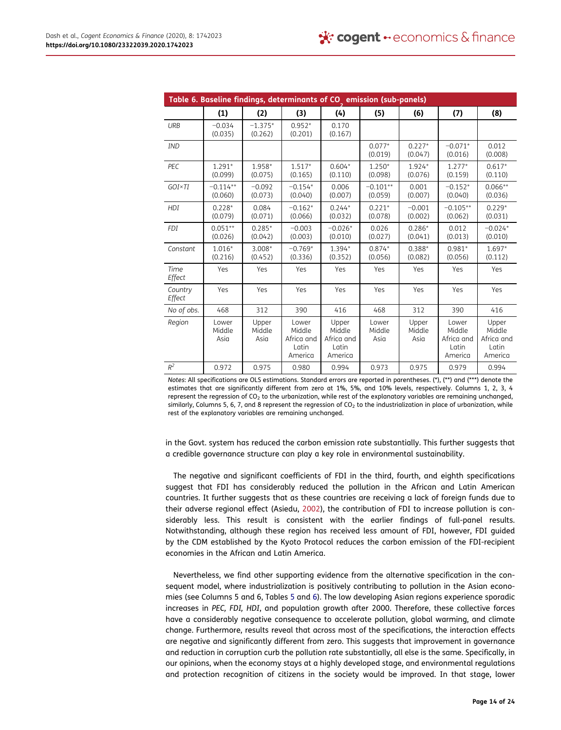|                             |                         |                         | Table 6. Baseline findings, determinants of CO <sub>2</sub> emission (sub-panels) |                                                   |                         |                         |                                                   |                                                   |
|-----------------------------|-------------------------|-------------------------|-----------------------------------------------------------------------------------|---------------------------------------------------|-------------------------|-------------------------|---------------------------------------------------|---------------------------------------------------|
|                             | (1)                     | (2)                     | (3)                                                                               | (4)                                               | (5)                     | (6)                     | (7)                                               | (8)                                               |
| <b>URB</b>                  | $-0.034$<br>(0.035)     | $-1.375*$<br>(0.262)    | $0.952*$<br>(0.201)                                                               | 0.170<br>(0.167)                                  |                         |                         |                                                   |                                                   |
| <b>IND</b>                  |                         |                         |                                                                                   |                                                   | $0.077*$<br>(0.019)     | $0.227*$<br>(0.047)     | $-0.071*$<br>(0.016)                              | 0.012<br>(0.008)                                  |
| PEC                         | $1.291*$<br>(0.099)     | 1.958*<br>(0.075)       | $1.517*$<br>(0.165)                                                               | $0.604*$<br>(0.110)                               | $1.250*$<br>(0.098)     | $1.924*$<br>(0.076)     | $1.277*$<br>(0.159)                               | $0.617*$<br>(0.110)                               |
| GOI×TI                      | $-0.114**$<br>(0.060)   | $-0.092$<br>(0.073)     | $-0.154*$<br>(0.040)                                                              | 0.006<br>(0.007)                                  | $-0.101**$<br>(0.059)   | 0.001<br>(0.007)        | $-0.152*$<br>(0.040)                              | $0.066**$<br>(0.036)                              |
| <b>HDI</b>                  | $0.228*$<br>(0.079)     | 0.084<br>(0.071)        | $-0.162*$<br>(0.066)                                                              | $0.244*$<br>(0.032)                               | $0.221*$<br>(0.078)     | $-0.001$<br>(0.002)     | $-0.105**$<br>(0.062)                             | $0.229*$<br>(0.031)                               |
| <b>FDI</b>                  | $0.051**$<br>(0.026)    | $0.285*$<br>(0.042)     | $-0.003$<br>(0.003)                                                               | $-0.026*$<br>(0.010)                              | 0.026<br>(0.027)        | $0.286*$<br>(0.041)     | 0.012<br>(0.013)                                  | $-0.024*$<br>(0.010)                              |
| Constant                    | $1.016*$<br>(0.216)     | $3.008*$<br>(0.452)     | $-0.769*$<br>(0.336)                                                              | 1.394*<br>(0.352)                                 | $0.874*$<br>(0.056)     | $0.388*$<br>(0.082)     | $0.981*$<br>(0.056)                               | $1.697*$<br>(0.112)                               |
| Time<br>Effect              | Yes                     | Yes                     | Yes                                                                               | Yes                                               | Yes                     | Yes                     | Yes                                               | Yes                                               |
| Country<br>Effect           | Yes                     | Yes                     | Yes                                                                               | Yes                                               | Yes                     | Yes                     | Yes                                               | Yes                                               |
| No of obs.                  | 468                     | 312                     | 390                                                                               | 416                                               | 468                     | 312                     | 390                                               | 416                                               |
| Region                      | Lower<br>Middle<br>Asia | Upper<br>Middle<br>Asia | Lower<br>Middle<br>Africa and<br>Latin<br>America                                 | Upper<br>Middle<br>Africa and<br>Latin<br>America | Lower<br>Middle<br>Asia | Upper<br>Middle<br>Asia | Lower<br>Middle<br>Africa and<br>Latin<br>America | Upper<br>Middle<br>Africa and<br>Latin<br>America |
| $\ensuremath{\mathbb{R}}^2$ | 0.972                   | 0.975                   | 0.980                                                                             | 0.994                                             | 0.973                   | 0.975                   | 0.979                                             | 0.994                                             |

Notes: All specifications are OLS estimations. Standard errors are reported in parentheses. (\*), (\*\*) and (\*\*\*) denote the estimates that are significantly different from zero at 1%, 5%, and 10% levels, respectively. Columns 1, 2, 3, 4 represent the regression of  $CO<sub>2</sub>$  to the urbanization, while rest of the explanatory variables are remaining unchanged, similarly, Columns 5, 6, 7, and 8 represent the regression of  $CO<sub>2</sub>$  to the industrialization in place of urbanization, while rest of the explanatory variables are remaining unchanged.

in the Govt. system has reduced the carbon emission rate substantially. This further suggests that a credible governance structure can play a key role in environmental sustainability.

The negative and significant coefficients of FDI in the third, fourth, and eighth specifications suggest that FDI has considerably reduced the pollution in the African and Latin American countries. It further suggests that as these countries are receiving a lack of foreign funds due to their adverse regional effect (Asiedu, 2002), the contribution of FDI to increase pollution is considerably less. This result is consistent with the earlier findings of full-panel results. Notwithstanding, although these region has received less amount of FDI, however, FDI guided by the CDM established by the Kyoto Protocol reduces the carbon emission of the FDI-recipient economies in the African and Latin America.

Nevertheless, we find other supporting evidence from the alternative specification in the consequent model, where industrialization is positively contributing to pollution in the Asian economies (see Columns 5 and 6, Tables 5 and 6). The low developing Asian regions experience sporadic increases in PEC, FDI, HDI, and population growth after 2000. Therefore, these collective forces have a considerably negative consequence to accelerate pollution, global warming, and climate change. Furthermore, results reveal that across most of the specifications, the interaction effects are negative and significantly different from zero. This suggests that improvement in governance and reduction in corruption curb the pollution rate substantially, all else is the same. Specifically, in our opinions, when the economy stays at a highly developed stage, and environmental regulations and protection recognition of citizens in the society would be improved. In that stage, lower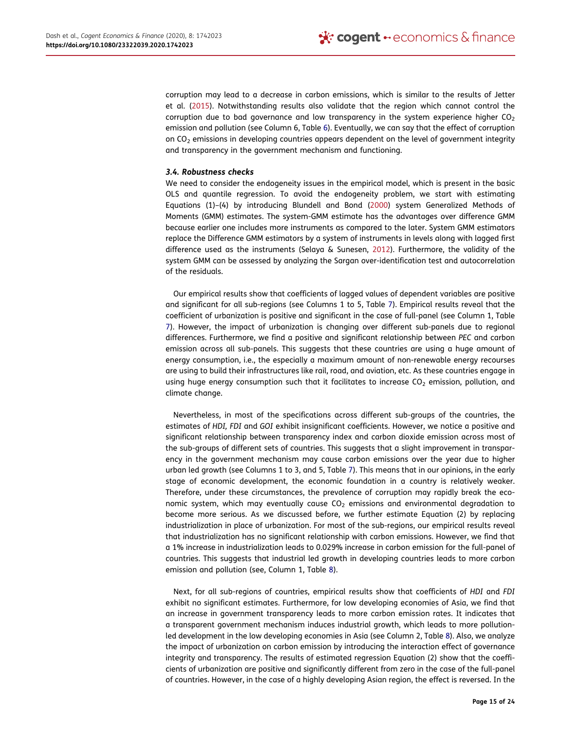corruption may lead to a decrease in carbon emissions, which is similar to the results of Jetter et al. (2015). Notwithstanding results also validate that the region which cannot control the corruption due to bad governance and low transparency in the system experience higher  $CO<sub>2</sub>$ emission and pollution (see Column 6, Table 6). Eventually, we can say that the effect of corruption on  $CO<sub>2</sub>$  emissions in developing countries appears dependent on the level of government integrity and transparency in the government mechanism and functioning.

#### 3.4. Robustness checks

We need to consider the endogeneity issues in the empirical model, which is present in the basic OLS and quantile regression. To avoid the endogeneity problem, we start with estimating Equations (1)–(4) by introducing Blundell and Bond (2000) system Generalized Methods of Moments (GMM) estimates. The system-GMM estimate has the advantages over difference GMM because earlier one includes more instruments as compared to the later. System GMM estimators replace the Difference GMM estimators by a system of instruments in levels along with lagged first difference used as the instruments (Selaya & Sunesen, 2012). Furthermore, the validity of the system GMM can be assessed by analyzing the Sargan over-identification test and autocorrelation of the residuals.

Our empirical results show that coefficients of lagged values of dependent variables are positive and significant for all sub-regions (see Columns 1 to 5, Table 7). Empirical results reveal that the coefficient of urbanization is positive and significant in the case of full-panel (see Column 1, Table 7). However, the impact of urbanization is changing over different sub-panels due to regional differences. Furthermore, we find a positive and significant relationship between PEC and carbon emission across all sub-panels. This suggests that these countries are using a huge amount of energy consumption, i.e., the especially a maximum amount of non-renewable energy recourses are using to build their infrastructures like rail, road, and aviation, etc. As these countries engage in using huge energy consumption such that it facilitates to increase  $CO<sub>2</sub>$  emission, pollution, and climate change.

Nevertheless, in most of the specifications across different sub-groups of the countries, the estimates of HDI, FDI and GOI exhibit insignificant coefficients. However, we notice a positive and significant relationship between transparency index and carbon dioxide emission across most of the sub-groups of different sets of countries. This suggests that a slight improvement in transparency in the government mechanism may cause carbon emissions over the year due to higher urban led growth (see Columns 1 to 3, and 5, Table 7). This means that in our opinions, in the early stage of economic development, the economic foundation in a country is relatively weaker. Therefore, under these circumstances, the prevalence of corruption may rapidly break the economic system, which may eventually cause  $CO<sub>2</sub>$  emissions and environmental degradation to become more serious. As we discussed before, we further estimate Equation (2) by replacing industrialization in place of urbanization. For most of the sub-regions, our empirical results reveal that industrialization has no significant relationship with carbon emissions. However, we find that a 1% increase in industrialization leads to 0.029% increase in carbon emission for the full-panel of countries. This suggests that industrial led growth in developing countries leads to more carbon emission and pollution (see, Column 1, Table 8).

Next, for all sub-regions of countries, empirical results show that coefficients of HDI and FDI exhibit no significant estimates. Furthermore, for low developing economies of Asia, we find that an increase in government transparency leads to more carbon emission rates. It indicates that a transparent government mechanism induces industrial growth, which leads to more pollutionled development in the low developing economies in Asia (see Column 2, Table 8). Also, we analyze the impact of urbanization on carbon emission by introducing the interaction effect of governance integrity and transparency. The results of estimated regression Equation (2) show that the coefficients of urbanization are positive and significantly different from zero in the case of the full-panel of countries. However, in the case of a highly developing Asian region, the effect is reversed. In the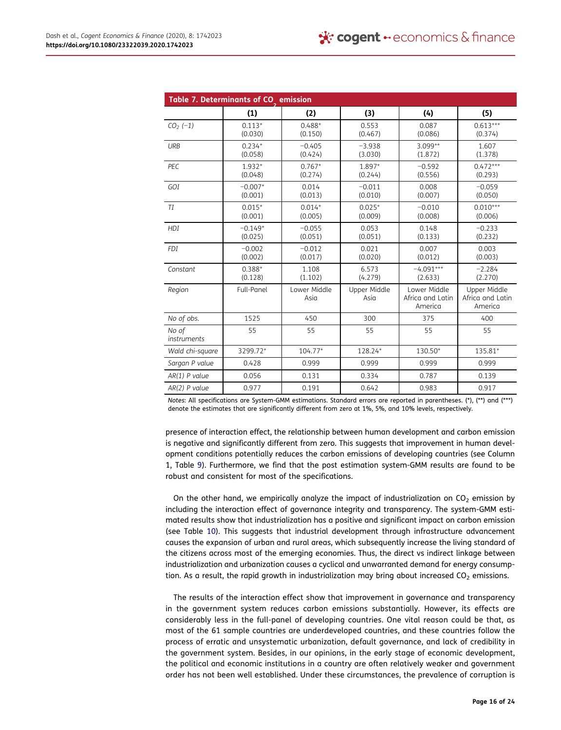|                      | Table 7. Determinants of CO <sub>.</sub> emission |                      |                      |                                             |                                             |
|----------------------|---------------------------------------------------|----------------------|----------------------|---------------------------------------------|---------------------------------------------|
|                      | (1)                                               | (2)                  | (3)                  | (4)                                         | (5)                                         |
| $CO2$ (-1)           | $0.113*$<br>(0.030)                               | $0.488*$<br>(0.150)  | 0.553<br>(0.467)     | 0.087<br>(0.086)                            | $0.613***$<br>(0.374)                       |
| URB                  | $0.234*$<br>(0.058)                               | $-0.405$<br>(0.424)  | $-3.938$<br>(3.030)  | $3.099**$<br>(1.872)                        | 1.607<br>(1.378)                            |
| PEC                  | $1.932*$<br>(0.048)                               | $0.767*$<br>(0.274)  | 1.897*<br>(0.244)    | $-0.592$<br>(0.556)                         | $0.472***$<br>(0.293)                       |
| GOI                  | $-0.007*$<br>(0.001)                              | 0.014<br>(0.013)     | $-0.011$<br>(0.010)  | 0.008<br>(0.007)                            | $-0.059$<br>(0.050)                         |
| TI                   | $0.015*$<br>(0.001)                               | $0.014*$<br>(0.005)  | $0.025*$<br>(0.009)  | $-0.010$<br>(0.008)                         | $0.010***$<br>(0.006)                       |
| HDI                  | $-0.149*$<br>(0.025)                              | $-0.055$<br>(0.051)  | 0.053<br>(0.051)     | 0.148<br>(0.133)                            | $-0.233$<br>(0.232)                         |
| <b>FDI</b>           | $-0.002$<br>(0.002)                               | $-0.012$<br>(0.017)  | 0.021<br>(0.020)     | 0.007<br>(0.012)                            | 0.003<br>(0.003)                            |
| Constant             | $0.388*$<br>(0.128)                               | 1.108<br>(1.102)     | 6.573<br>(4.279)     | $-4.091***$<br>(2.633)                      | $-2.284$<br>(2.270)                         |
| Region               | Full-Panel                                        | Lower Middle<br>Asia | Upper Middle<br>Asia | Lower Middle<br>Africa and Latin<br>America | Upper Middle<br>Africa and Latin<br>America |
| No of obs.           | 1525                                              | 450                  | 300                  | 375                                         | 400                                         |
| No of<br>instruments | 55                                                | 55                   | 55                   | 55                                          | 55                                          |
| Wald chi-square      | 3299.72*                                          | $104.77*$            | 128.24*              | 130.50*                                     | 135.81*                                     |
| Sargan P value       | 0.428                                             | 0.999                | 0.999                | 0.999                                       | 0.999                                       |
| $AR(1)$ P value      | 0.056                                             | 0.131                | 0.334                | 0.787                                       | 0.139                                       |
| $AR(2)$ P value      | 0.977                                             | 0.191                | 0.642                | 0.983                                       | 0.917                                       |

Notes: All specifications are System-GMM estimations. Standard errors are reported in parentheses. (\*), (\*\*) and (\*\*\*) denote the estimates that are significantly different from zero at 1%, 5%, and 10% levels, respectively.

presence of interaction effect, the relationship between human development and carbon emission is negative and significantly different from zero. This suggests that improvement in human development conditions potentially reduces the carbon emissions of developing countries (see Column 1, Table 9). Furthermore, we find that the post estimation system-GMM results are found to be robust and consistent for most of the specifications.

On the other hand, we empirically analyze the impact of industrialization on  $CO<sub>2</sub>$  emission by including the interaction effect of governance integrity and transparency. The system-GMM estimated results show that industrialization has a positive and significant impact on carbon emission (see Table 10). This suggests that industrial development through infrastructure advancement causes the expansion of urban and rural areas, which subsequently increase the living standard of the citizens across most of the emerging economies. Thus, the direct vs indirect linkage between industrialization and urbanization causes a cyclical and unwarranted demand for energy consumption. As a result, the rapid growth in industrialization may bring about increased  $CO<sub>2</sub>$  emissions.

The results of the interaction effect show that improvement in governance and transparency in the government system reduces carbon emissions substantially. However, its effects are considerably less in the full-panel of developing countries. One vital reason could be that, as most of the 61 sample countries are underdeveloped countries, and these countries follow the process of erratic and unsystematic urbanization, default governance, and lack of credibility in the government system. Besides, in our opinions, in the early stage of economic development, the political and economic institutions in a country are often relatively weaker and government order has not been well established. Under these circumstances, the prevalence of corruption is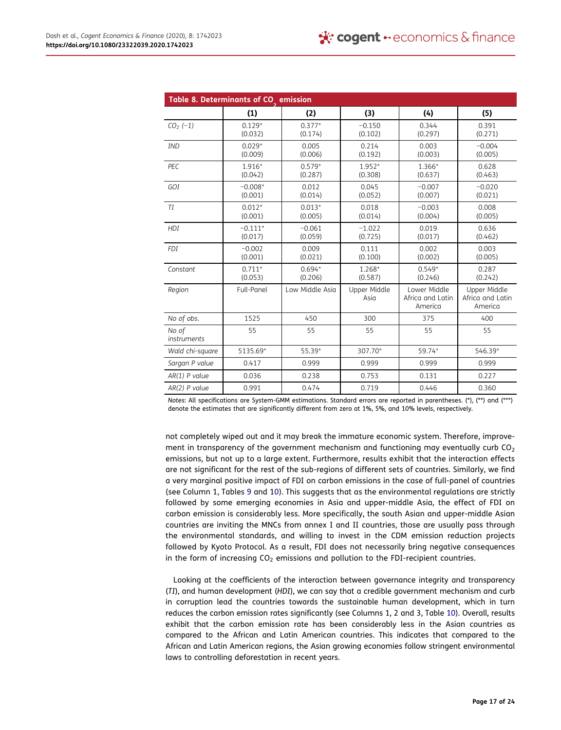|                      | Table 8. Determinants of CO <sub>_</sub> emission |                     |                      |                                             |                                             |
|----------------------|---------------------------------------------------|---------------------|----------------------|---------------------------------------------|---------------------------------------------|
|                      | (1)                                               | (2)                 | (3)                  | (4)                                         | (5)                                         |
| $CO2$ (-1)           | $0.129*$<br>(0.032)                               | $0.377*$<br>(0.174) | $-0.150$<br>(0.102)  | 0.344<br>(0.297)                            | 0.391<br>(0.271)                            |
| <b>IND</b>           | $0.029*$<br>(0.009)                               | 0.005<br>(0.006)    | 0.214<br>(0.192)     | 0.003<br>(0.003)                            | $-0.004$<br>(0.005)                         |
| PEC                  | $1.916*$<br>(0.042)                               | $0.579*$<br>(0.287) | $1.952*$<br>(0.308)  | 1.366*<br>(0.637)                           | 0.628<br>(0.463)                            |
| GOI                  | $-0.008*$<br>(0.001)                              | 0.012<br>(0.014)    | 0.045<br>(0.052)     | $-0.007$<br>(0.007)                         | $-0.020$<br>(0.021)                         |
| TI                   | $0.012*$<br>(0.001)                               | $0.013*$<br>(0.005) | 0.018<br>(0.014)     | $-0.003$<br>(0.004)                         | 0.008<br>(0.005)                            |
| HDI                  | $-0.111*$<br>(0.017)                              | $-0.061$<br>(0.059) | $-1.022$<br>(0.725)  | 0.019<br>(0.017)                            | 0.636<br>(0.462)                            |
| <b>FDI</b>           | $-0.002$<br>(0.001)                               | 0.009<br>(0.021)    | 0.111<br>(0.100)     | 0.002<br>(0.002)                            | 0.003<br>(0.005)                            |
| Constant             | $0.711*$<br>(0.053)                               | $0.694*$<br>(0.206) | $1.268*$<br>(0.587)  | $0.549*$<br>(0.246)                         | 0.287<br>(0.242)                            |
| Region               | Full-Panel                                        | Low Middle Asia     | Upper Middle<br>Asia | Lower Middle<br>Africa and Latin<br>America | Upper Middle<br>Africa and Latin<br>America |
| No of obs.           | 1525                                              | 450                 | 300                  | 375                                         | 400                                         |
| No of<br>instruments | 55                                                | 55                  | 55                   | 55                                          | 55                                          |
| Wald chi-square      | 5135.69*                                          | 55.39*              | 307.70*              | 59.74*                                      | 546.39*                                     |
| Sargan P value       | 0.417                                             | 0.999               | 0.999                | 0.999                                       | 0.999                                       |
| $AR(1)$ P value      | 0.036                                             | 0.238               | 0.753                | 0.131                                       | 0.227                                       |
| $AR(2)$ P value      | 0.991                                             | 0.474               | 0.719                | 0.446                                       | 0.360                                       |

Notes: All specifications are System-GMM estimations. Standard errors are reported in parentheses. (\*), (\*\*) and (\*\*\*) denote the estimates that are significantly different from zero at 1%, 5%, and 10% levels, respectively.

not completely wiped out and it may break the immature economic system. Therefore, improvement in transparency of the government mechanism and functioning may eventually curb  $CO<sub>2</sub>$ emissions, but not up to a large extent. Furthermore, results exhibit that the interaction effects are not significant for the rest of the sub-regions of different sets of countries. Similarly, we find a very marginal positive impact of FDI on carbon emissions in the case of full-panel of countries (see Column 1, Tables 9 and 10). This suggests that as the environmental regulations are strictly followed by some emerging economies in Asia and upper-middle Asia, the effect of FDI on carbon emission is considerably less. More specifically, the south Asian and upper-middle Asian countries are inviting the MNCs from annex I and II countries, those are usually pass through the environmental standards, and willing to invest in the CDM emission reduction projects followed by Kyoto Protocol. As a result, FDI does not necessarily bring negative consequences in the form of increasing  $CO<sub>2</sub>$  emissions and pollution to the FDI-recipient countries.

Looking at the coefficients of the interaction between governance integrity and transparency (TI), and human development (HDI), we can say that a credible government mechanism and curb in corruption lead the countries towards the sustainable human development, which in turn reduces the carbon emission rates significantly (see Columns 1, 2 and 3, Table 10). Overall, results exhibit that the carbon emission rate has been considerably less in the Asian countries as compared to the African and Latin American countries. This indicates that compared to the African and Latin American regions, the Asian growing economies follow stringent environmental laws to controlling deforestation in recent years.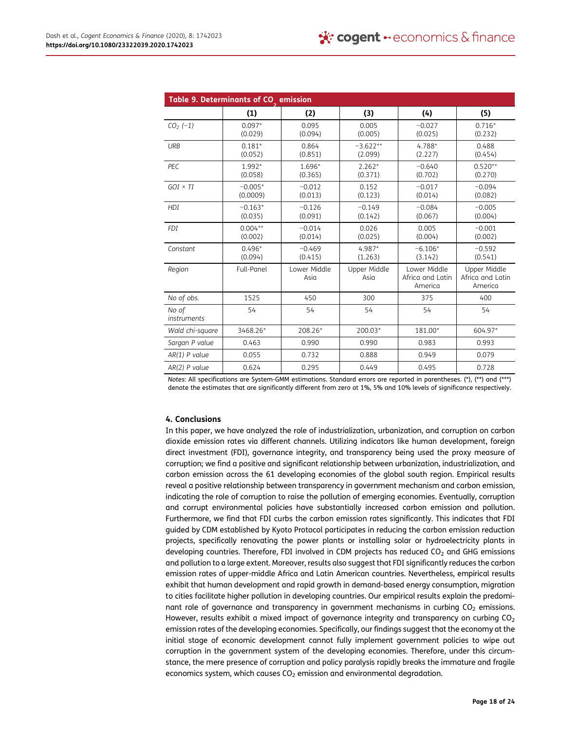|                      | Table 9. Determinants of CO emission |                      |                       |                                             |                                             |
|----------------------|--------------------------------------|----------------------|-----------------------|---------------------------------------------|---------------------------------------------|
|                      | (1)                                  | (2)                  | (3)                   | (4)                                         | (5)                                         |
| $CO2$ (-1)           | $0.097*$<br>(0.029)                  | 0.095<br>(0.094)     | 0.005<br>(0.005)      | $-0.027$<br>(0.025)                         | $0.716*$<br>(0.232)                         |
| URB                  | $0.181*$<br>(0.052)                  | 0.864<br>(0.851)     | $-3.622**$<br>(2.099) | $4.788*$<br>(2.227)                         | 0.488<br>(0.454)                            |
| PEC                  | 1.992*<br>(0.058)                    | 1.696*<br>(0.365)    | $2.262*$<br>(0.371)   | $-0.640$<br>(0.702)                         | $0.520**$<br>(0.270)                        |
| $GOI \times TI$      | $-0.005*$<br>(0.0009)                | $-0.012$<br>(0.013)  | 0.152<br>(0.123)      | $-0.017$<br>(0.014)                         | $-0.094$<br>(0.082)                         |
| <b>HDI</b>           | $-0.163*$<br>(0.035)                 | $-0.126$<br>(0.091)  | $-0.149$<br>(0.142)   | $-0.084$<br>(0.067)                         | $-0.005$<br>(0.004)                         |
| <b>FDI</b>           | $0.004***$<br>(0.002)                | $-0.014$<br>(0.014)  | 0.026<br>(0.025)      | 0.005<br>(0.004)                            | $-0.001$<br>(0.002)                         |
| Constant             | $0.496*$<br>(0.094)                  | $-0.469$<br>(0.415)  | $4.987*$<br>(1.263)   | $-6.106*$<br>(3.142)                        | $-0.592$<br>(0.541)                         |
| Region               | Full-Panel                           | Lower Middle<br>Asia | Upper Middle<br>Asia  | Lower Middle<br>Africa and Latin<br>America | Upper Middle<br>Africa and Latin<br>America |
| No of obs.           | 1525                                 | 450                  | 300                   | 375                                         | 400                                         |
| No of<br>instruments | 54                                   | 54                   | 54                    | 54                                          | 54                                          |
| Wald chi-square      | 3468.26*                             | 208.26*              | 200.03*               | 181.00*                                     | 604.97*                                     |
| Sargan P value       | 0.463                                | 0.990                | 0.990                 | 0.983                                       | 0.993                                       |
| $AR(1)$ P value      | 0.055                                | 0.732                | 0.888                 | 0.949                                       | 0.079                                       |
| $AR(2)$ P value      | 0.624                                | 0.295                | 0.449                 | 0.495                                       | 0.728                                       |

Notes: All specifications are System-GMM estimations. Standard errors are reported in parentheses. (\*), (\*\*) and (\*\*\*) denote the estimates that are significantly different from zero at 1%, 5% and 10% levels of significance respectively.

# 4. Conclusions

In this paper, we have analyzed the role of industrialization, urbanization, and corruption on carbon dioxide emission rates via different channels. Utilizing indicators like human development, foreign direct investment (FDI), governance integrity, and transparency being used the proxy measure of corruption; we find a positive and significant relationship between urbanization, industrialization, and carbon emission across the 61 developing economies of the global south region. Empirical results reveal a positive relationship between transparency in government mechanism and carbon emission, indicating the role of corruption to raise the pollution of emerging economies. Eventually, corruption and corrupt environmental policies have substantially increased carbon emission and pollution. Furthermore, we find that FDI curbs the carbon emission rates significantly. This indicates that FDI guided by CDM established by Kyoto Protocol participates in reducing the carbon emission reduction projects, specifically renovating the power plants or installing solar or hydroelectricity plants in developing countries. Therefore, FDI involved in CDM projects has reduced  $CO<sub>2</sub>$  and GHG emissions and pollution to a large extent. Moreover, results also suggest that FDI significantly reduces the carbon emission rates of upper-middle Africa and Latin American countries. Nevertheless, empirical results exhibit that human development and rapid growth in demand-based energy consumption, migration to cities facilitate higher pollution in developing countries. Our empirical results explain the predominant role of governance and transparency in government mechanisms in curbing  $CO<sub>2</sub>$  emissions. However, results exhibit a mixed impact of governance integrity and transparency on curbing  $CO<sub>2</sub>$ emission rates of the developing economies. Specifically, our findings suggest that the economy at the initial stage of economic development cannot fully implement government policies to wipe out corruption in the government system of the developing economies. Therefore, under this circumstance, the mere presence of corruption and policy paralysis rapidly breaks the immature and fragile economics system, which causes  $CO<sub>2</sub>$  emission and environmental degradation.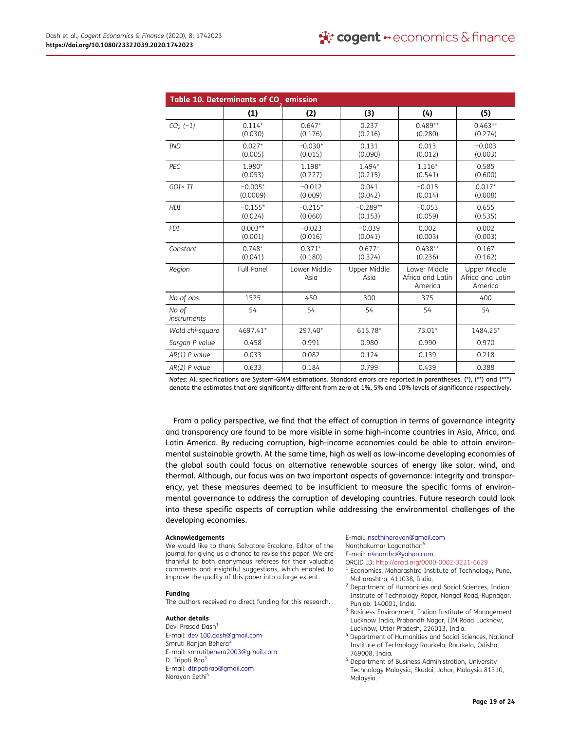|                      | Table 10. Determinants of CO emission |                      |                       |                                             |                                             |
|----------------------|---------------------------------------|----------------------|-----------------------|---------------------------------------------|---------------------------------------------|
|                      | (1)                                   | (2)                  | (3)                   | (4)                                         | (5)                                         |
| $CO2 (-1)$           | $0.114*$<br>(0.030)                   | $0.647*$<br>(0.176)  | 0.237<br>(0.216)      | $0.489**$<br>(0.280)                        | $0.463**$<br>(0.274)                        |
| <b>IND</b>           | $0.027*$<br>(0.005)                   | $-0.030*$<br>(0.015) | 0.131<br>(0.090)      | 0.013<br>(0.012)                            | $-0.003$<br>(0.003)                         |
| PEC                  | 1.980*<br>(0.053)                     | 1.198*<br>(0.227)    | $1.494*$<br>(0.215)   | $1.116*$<br>(0.541)                         | 0.585<br>(0.600)                            |
| $GOI \times TI$      | $-0.005*$<br>(0.0009)                 | $-0.012$<br>(0.009)  | 0.041<br>(0.042)      | $-0.015$<br>(0.014)                         | $0.017*$<br>(0.008)                         |
| <b>HDI</b>           | $-0.155*$<br>(0.024)                  | $-0.215*$<br>(0.060) | $-0.289**$<br>(0.153) | $-0.053$<br>(0.059)                         | 0.655<br>(0.535)                            |
| <b>FDI</b>           | $0.003**$<br>(0.001)                  | $-0.023$<br>(0.016)  | $-0.039$<br>(0.041)   | 0.002<br>(0.003)                            | 0.002<br>(0.003)                            |
| Constant             | $0.748*$<br>(0.041)                   | $0.371*$<br>(0.180)  | $0.677*$<br>(0.324)   | $0.438**$<br>(0.236)                        | 0.167<br>(0.162)                            |
| Region               | <b>Full Panel</b>                     | Lower Middle<br>Asia | Upper Middle<br>Asia  | Lower Middle<br>Africa and Latin<br>America | Upper Middle<br>Africa and Latin<br>America |
| No of obs.           | 1525                                  | 450                  | 300                   | 375                                         | 400                                         |
| No of<br>instruments | 54                                    | 54                   | 54                    | 54                                          | 54                                          |
| Wald chi-square      | 4697.41*                              | 297.40*              | 615.78*               | 73.01*                                      | 1484.25*                                    |
| Sargan P value       | 0.458                                 | 0.991                | 0.980                 | 0.990                                       | 0.970                                       |
| $AR(1)$ P value      | 0.033                                 | 0.082                | 0.124                 | 0.139                                       | 0.218                                       |
| $AR(2)$ P value      | 0.633                                 | 0.184                | 0.799                 | 0.439                                       | 0.388                                       |

Notes: All specifications are System-GMM estimations. Standard errors are reported in parentheses. (\*), (\*\*) and (\*\*\*) denote the estimates that are significantly different from zero at 1%, 5% and 10% levels of significance respectively.

From a policy perspective, we find that the effect of corruption in terms of governance integrity and transparency are found to be more visible in some high-income countries in Asia, Africa, and Latin America. By reducing corruption, high-income economies could be able to attain environmental sustainable growth. At the same time, high as well as low-income developing economies of the global south could focus on alternative renewable sources of energy like solar, wind, and thermal. Although, our focus was on two important aspects of governance: integrity and transparency, yet these measures deemed to be insufficient to measure the specific forms of environmental governance to address the corruption of developing countries. Future research could look into these specific aspects of corruption while addressing the environmental challenges of the developing economies.

#### Acknowledgements

We would like to thank Salvatore Ercolano, Editor of the journal for giving us a chance to revise this paper. We are thankful to both anonymous referees for their valuable comments and insightful suggestions, which enabled to improve the quality of this paper into a large extent.

#### Funding

The authors received no direct funding for this research.

#### Author details

Devi Prasad Dash<sup>1</sup> E-mail: devi100.dash@gmail.com Smruti Ranjan Behera<sup>2</sup> E-mail: smrutibehera2003@gmail.com D. Tripati Rao<sup>3</sup> E-mail: dtripatirao@gmail.com Narayan Sethi<sup>4</sup>

E-mail: nsethinarayan@gmail.com

Nanthakumar Loganathan<sup>5</sup>

- E-mail: n4nantha@yahoo.com ORCID ID: http://orcid.org/0000-0002-3221-6629
- <sup>1</sup> Economics, Maharashtra Institute of Technology, Pune, Maharashtra, 411038, India.
- <sup>2</sup> Department of Humanities and Social Sciences, Indian Institute of Technology Ropar, Nangal Road, Rupnagar, Punjab, 140001, India.
- <sup>3</sup> Business Environment, Indian Institute of Management Lucknow India, Prabandh Nagar, IIM Road Lucknow, Lucknow, Uttar Pradesh, 226013, India.
- <sup>4</sup> Department of Humanities and Social Sciences, National Institute of Technology Rourkela, Rourkela, Odisha, 769008, India.
- <sup>5</sup> Department of Business Administration, University Technology Malaysia, Skudai, Johor, Malaysia 81310, Malaysia.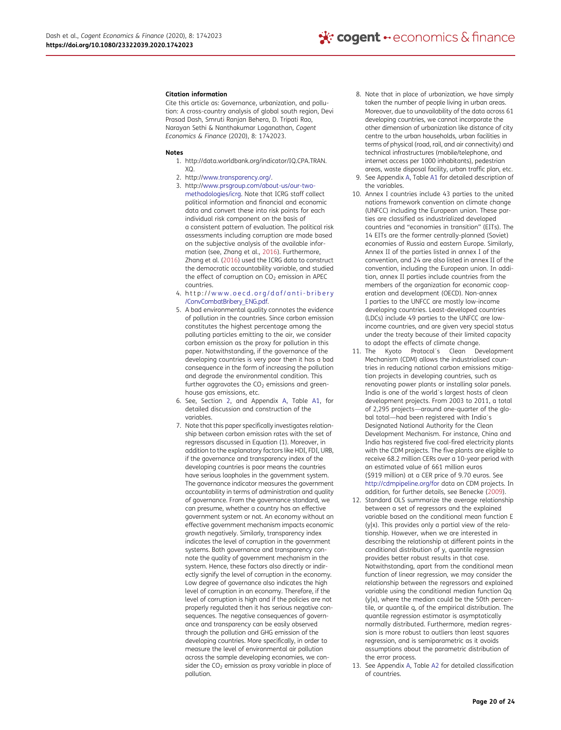#### Citation information

Cite this article as: Governance, urbanization, and pollution: A cross-country analysis of global south region, Devi Prasad Dash, Smruti Ranjan Behera, D. Tripati Rao, Narayan Sethi & Nanthakumar Loganathan, Cogent Economics & Finance (2020), 8: 1742023.

#### Notes

- 1. http://data.worldbank.org/indicator/IQ.CPA.TRAN.  $X<sub>O</sub>$
- 2. http://www.transparency.org/.
- 3. http://www.prsgroup.com/about-us/our-twomethodologies/icrg. Note that ICRG staff collect political information and financial and economic data and convert these into risk points for each individual risk component on the basis of a consistent pattern of evaluation. The political risk assessments including corruption are made based on the subjective analysis of the available information (see, Zhang et al., 2016). Furthermore, Zhang et al. (2016) used the ICRG data to construct the democratic accountability variable, and studied the effect of corruption on  $CO<sub>2</sub>$  emission in APEC countries.
- 4. http://www.oecd.org/daf/anti-bribery /ConvCombatBribery\_ENG.pdf.
- 5. A bad environmental quality connotes the evidence of pollution in the countries. Since carbon emission constitutes the highest percentage among the polluting particles emitting to the air, we consider carbon emission as the proxy for pollution in this paper. Notwithstanding, if the governance of the developing countries is very poor then it has a bad consequence in the form of increasing the pollution and degrade the environmental condition. This further aggravates the  $CO<sub>2</sub>$  emissions and greenhouse gas emissions, etc.
- 6. See, Section 2, and Appendix A, Table A1, for detailed discussion and construction of the variables.
- 7. Note that this paper specifically investigates relationship between carbon emission rates with the set of regressors discussed in Equation (1). Moreover, in addition to the explanatory factors like HDI, FDI, URB, if the governance and transparency index of the developing countries is poor means the countries have serious loopholes in the government system. The governance indicator measures the government accountability in terms of administration and quality of governance. From the governance standard, we can presume, whether a country has an effective government system or not. An economy without an effective government mechanism impacts economic growth negatively. Similarly, transparency index indicates the level of corruption in the government systems. Both governance and transparency connote the quality of government mechanism in the system. Hence, these factors also directly or indirectly signify the level of corruption in the economy. Low degree of governance also indicates the high level of corruption in an economy. Therefore, if the level of corruption is high and if the policies are not properly regulated then it has serious negative consequences. The negative consequences of governance and transparency can be easily observed through the pollution and GHG emission of the developing countries. More specifically, in order to measure the level of environmental air pollution across the sample developing economies, we consider the  $CO<sub>2</sub>$  emission as proxy variable in place of pollution.
- 8. Note that in place of urbanization, we have simply taken the number of people living in urban areas. Moreover, due to unavailability of the data across 61 developing countries, we cannot incorporate the other dimension of urbanization like distance of city centre to the urban households, urban facilities in terms of physical (road, rail, and air connectivity) and technical infrastructures (mobile/telephone, and internet access per 1000 inhabitants), pedestrian
- areas, waste disposal facility, urban traffic plan, etc. 9. See Appendix A, Table A1 for detailed description of the variables.
- 10. Annex I countries include 43 parties to the united nations framework convention on climate change (UNFCC) including the European union. These parties are classified as industrialized developed countries and "economies in transition" (EITs). The 14 EITs are the former centrally-planned (Soviet) economies of Russia and eastern Europe. Similarly, Annex II of the parties listed in annex I of the convention, and 24 are also listed in annex II of the convention, including the European union. In addition, annex II parties include countries from the members of the organization for economic cooperation and development (OECD). Non-annex I parties to the UNFCC are mostly low-income developing countries. Least-developed countries (LDCs) include 49 parties to the UNFCC are lowincome countries, and are given very special status under the treaty because of their limited capacity to adopt the effects of climate change.
- 11. The Kyoto Protocol´s Clean Development Mechanism (CDM) allows the industrialised countries in reducing national carbon emissions mitigation projects in developing countries, such as renovating power plants or installing solar panels. India is one of the world´s largest hosts of clean development projects. From 2003 to 2011, a total of 2,295 projects—around one-quarter of the global total—had been registered with India´s Designated National Authority for the Clean Development Mechanism. For instance, China and India has registered five coal-fired electricity plants with the CDM projects. The five plants are eligible to receive 68.2 million CERs over a 10-year period with an estimated value of 661 million euros (\$919 million) at a CER price of 9.70 euros. See http://cdmpipeline.org/for data on CDM projects. In addition, for further details, see Benecke (2009).
- 12. Standard OLS summarize the average relationship between a set of regressors and the explained variable based on the conditional mean function E (y|x). This provides only a partial view of the relationship. However, when we are interested in describing the relationship at different points in the conditional distribution of y, quantile regression provides better robust results in that case. Notwithstanding, apart from the conditional mean function of linear regression, we may consider the relationship between the regressors and explained variable using the conditional median function Qq (y|x), where the median could be the 50th percentile, or quantile q, of the empirical distribution. The quantile regression estimator is asymptotically normally distributed. Furthermore, median regression is more robust to outliers than least squares regression, and is semiparametric as it avoids assumptions about the parametric distribution of the error process.
- 13. See Appendix A, Table A2 for detailed classification of countries.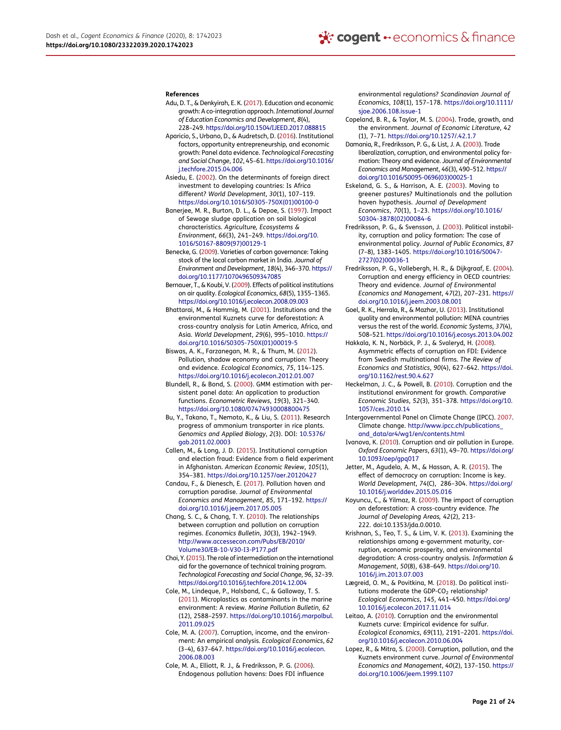#### References

- Adu, D. T., & Denkyirah, E. K. (2017). Education and economic growth: A co-integration approach.International Journal of Education Economics and Development, 8(4), 228–249. https://doi.org/10.1504/IJEED.2017.088815
- Aparicio, S., Urbano, D., & Audretsch, D. (2016). Institutional factors, opportunity entrepreneurship, and economic growth: Panel data evidence. Technological Forecasting and Social Change, 102, 45–61. https://doi.org/10.1016/ j.techfore.2015.04.006
- Asiedu, E. (2002). On the determinants of foreign direct investment to developing countries: Is Africa different? World Development, 30(1), 107–119. https://doi.org/10.1016/S0305-750X(01)00100-0
- Banerjee, M. R., Burton, D. L., & Depoe, S. (1997). Impact of Sewage sludge application on soil biological characteristics. Agriculture, Ecosystems & Environment, 66(3), 241–249. https://doi.org/10. 1016/S0167-8809(97)00129-1
- Benecke, G. (2009). Varieties of carbon governance: Taking stock of the local carbon market in India. Journal of Environment and Development, 18(4), 346–370. https:// doi.org/10.1177/1070496509347085
- Bernauer, T., & Koubi, V. (2009). Effects of political institutions on air quality. Ecological Economics, 68(5), 1355–1365. https://doi.org/10.1016/j.ecolecon.2008.09.003
- Bhattarai, M., & Hammig, M. (2001). Institutions and the environmental Kuznets curve for deforestation: A cross-country analysis for Latin America, Africa, and Asia. World Development, 29(6), 995–1010. https:// doi.org/10.1016/S0305-750X(01)00019-5
- Biswas, A. K., Farzanegan, M. R., & Thum, M. (2012). Pollution, shadow economy and corruption: Theory and evidence. Ecological Economics, 75, 114–125. https://doi.org/10.1016/j.ecolecon.2012.01.007
- Blundell, R., & Bond, S. (2000). GMM estimation with persistent panel data: An application to production functions. Econometric Reviews, 19(3), 321–340. https://doi.org/10.1080/07474930008800475
- Bu, Y., Takano, T., Nemoto, K., & Liu, S. (2011). Research progress of ammonium transporter in rice plants. Genomics and Applied Biology, 2(3). DOI: 10.5376/ gab.2011.02.0003
- Callen, M., & Long, J. D. (2015). Institutional corruption and election fraud: Evidence from a field experiment in Afghanistan. American Economic Review, 105(1), 354–381. https://doi.org/10.1257/aer.20120427
- Candau, F., & Dienesch, E. (2017). Pollution haven and corruption paradise. Journal of Environmental Economics and Management, 85, 171–192. https:// doi.org/10.1016/j.jeem.2017.05.005
- Chang, S. C., & Chang, T. Y. (2010). The relationships between corruption and pollution on corruption regimes. Economics Bulletin, 30(3), 1942–1949. http://www.accessecon.com/Pubs/EB/2010/ Volume30/EB-10-V30-I3-P177.pdf
- Choi, Y. (2015). The role of intermediation on the international aid for the governance of technical training program. Technological Forecasting and Social Change, 96, 32–39. https://doi.org/10.1016/j.techfore.2014.12.004
- Cole, M., Lindeque, P., Halsband, C., & Galloway, T. S. (2011). Microplastics as contaminants in the marine environment: A review. Marine Pollution Bulletin, 62 (12), 2588–2597. https://doi.org/10.1016/j.marpolbul. 2011.09.025
- Cole, M. A. (2007). Corruption, income, and the environment: An empirical analysis. Ecological Economics, 62 (3–4), 637–647. https://doi.org/10.1016/j.ecolecon. 2006.08.003
- Cole, M. A., Elliott, R. J., & Fredriksson, P. G. (2006). Endogenous pollution havens: Does FDI influence

environmental regulations? Scandinavian Journal of Economics, 108(1), 157–178. https://doi.org/10.1111/ sjoe.2006.108.issue-1

- Copeland, B. R., & Taylor, M. S. (2004). Trade, growth, and the environment. Journal of Economic Literature, 42 (1), 7–71. https://doi.org/10.1257/.42.1.7
- Damania, R., Fredriksson, P. G., & List, J. A. (2003). Trade liberalization, corruption, and environmental policy formation: Theory and evidence. Journal of Environmental Economics and Management, 46(3), 490–512. https:// doi.org/10.1016/S0095-0696(03)00025-1
- Eskeland, G. S., & Harrison, A. E. (2003). Moving to greener pastures? Multinationals and the pollution haven hypothesis. Journal of Development Economics, 70(1), 1–23. https://doi.org/10.1016/ S0304-3878(02)00084-6
- Fredriksson, P. G., & Svensson, J. (2003). Political instability, corruption and policy formation: The case of environmental policy. Journal of Public Economics, 87 (7–8), 1383–1405. https://doi.org/10.1016/S0047- 2727(02)00036-1
- Fredriksson, P. G., Vollebergh, H. R., & Dijkgraaf, E. (2004). Corruption and energy efficiency in OECD countries: Theory and evidence. Journal of Environmental Economics and Management, 47(2), 207–231. https:// doi.org/10.1016/j.jeem.2003.08.001
- Goel, R. K., Herrala, R., & Mazhar, U. (2013). Institutional quality and environmental pollution: MENA countries versus the rest of the world. Economic Systems, 37(4), 508–521. https://doi.org/10.1016/j.ecosys.2013.04.002
- Hakkala, K. N., Norbäck, P. J., & Svaleryd, H. (2008). Asymmetric effects of corruption on FDI: Evidence from Swedish multinational firms. The Review of Economics and Statistics, 90(4), 627–642. https://doi. org/10.1162/rest.90.4.627
- Heckelman, J. C., & Powell, B. (2010). Corruption and the institutional environment for growth. Comparative Economic Studies, 52(3), 351–378. https://doi.org/10. 1057/ces.2010.14
- Intergovernmental Panel on Climate Change (IPCC). 2007. Climate change. http://www.ipcc.ch/publications\_ and\_data/ar4/wg1/en/contents.html
- Ivanova, K. (2010). Corruption and air pollution in Europe. Oxford Economic Papers, 63(1), 49–70. https://doi.org/ 10.1093/oep/gpq017
- Jetter, M., Agudelo, A. M., & Hassan, A. R. (2015). The effect of democracy on corruption: Income is key. World Development, 74(C), 286–304. https://doi.org/ 10.1016/j.worlddev.2015.05.016
- Koyuncu, C., & Yilmaz, R. (2009). The impact of corruption on deforestation: A cross-country evidence. The Journal of Developing Areas, 42(2), 213- 222. doi:10.1353/jda.0.0010.
- Krishnan, S., Teo, T. S., & Lim, V. K. (2013). Examining the relationships among e-government maturity, corruption, economic prosperity, and environmental degradation: A cross-country analysis. Information & Management, 50(8), 638–649. https://doi.org/10. 1016/j.im.2013.07.003
- Lægreid, O. M., & Povitkina, M. (2018). Do political institutions moderate the GDP-CO<sub>2</sub> relationship? Ecological Economics, 145, 441–450. https://doi.org/ 10.1016/j.ecolecon.2017.11.014
- Leitao, A. (2010). Corruption and the environmental Kuznets curve: Empirical evidence for sulfur. Ecological Economics, 69(11), 2191–2201. https://doi. org/10.1016/j.ecolecon.2010.06.004
- Lopez, R., & Mitra, S. (2000). Corruption, pollution, and the Kuznets environment curve. Journal of Environmental Economics and Management, 40(2), 137–150. https:// doi.org/10.1006/jeem.1999.1107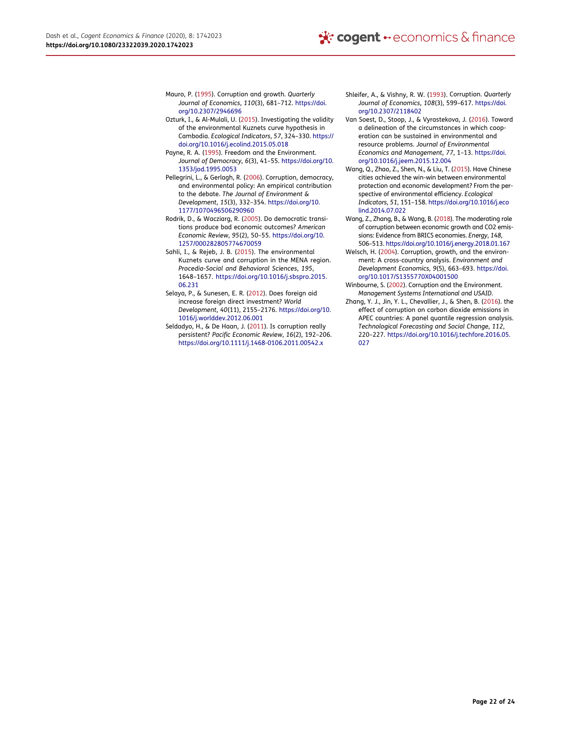- Mauro, P. (1995). Corruption and growth. Quarterly Journal of Economics, 110(3), 681–712. https://doi. org/10.2307/2946696
- Ozturk, I., & Al-Mulali, U. (2015). Investigating the validity of the environmental Kuznets curve hypothesis in Cambodia. Ecological Indicators, 57, 324–330. https:// doi.org/10.1016/j.ecolind.2015.05.018
- Payne, R. A. (1995). Freedom and the Environment. Journal of Democracy, 6(3), 41–55. https://doi.org/10. 1353/jod.1995.0053
- Pellegrini, L., & Gerlagh, R. (2006). Corruption, democracy, and environmental policy: An empirical contribution to the debate. The Journal of Environment & Development, 15(3), 332–354. https://doi.org/10. 1177/1070496506290960
- Rodrik, D., & Wacziarg, R. (2005). Do democratic transitions produce bad economic outcomes? American Economic Review, 95(2), 50–55. https://doi.org/10. 1257/000282805774670059
- Sahli, I., & Rejeb, J. B. (2015). The environmental Kuznets curve and corruption in the MENA region. Procedia-Social and Behavioral Sciences, 195, 1648–1657. https://doi.org/10.1016/j.sbspro.2015. 06.231
- Selaya, P., & Sunesen, E. R. (2012). Does foreign aid increase foreign direct investment? World Development, 40(11), 2155–2176. https://doi.org/10. 1016/j.worlddev.2012.06.001
- Seldadyo, H., & De Haan, J. (2011). Is corruption really persistent? Pacific Economic Review, 16(2), 192–206. https://doi.org/10.1111/j.1468-0106.2011.00542.x
- Shleifer, A., & Vishny, R. W. (1993). Corruption. Quarterly Journal of Economics, 108(3), 599–617. https://doi. org/10.2307/2118402
- Van Soest, D., Stoop, J., & Vyrastekova, J. (2016). Toward a delineation of the circumstances in which cooperation can be sustained in environmental and resource problems. Journal of Environmental Economics and Management, 77, 1–13. https://doi. org/10.1016/j.jeem.2015.12.004
- Wang, Q., Zhao, Z., Shen, N., & Liu, T. (2015). Have Chinese cities achieved the win-win between environmental protection and economic development? From the perspective of environmental efficiency. Ecological Indicators, 51, 151–158. https://doi.org/10.1016/j.eco lind.2014.07.022
- Wang, Z., Zhang, B., & Wang, B. (2018). The moderating role of corruption between economic growth and CO2 emissions: Evidence from BRICS economies. Energy, 148, 506–513. https://doi.org/10.1016/j.energy.2018.01.167
- Welsch, H. (2004). Corruption, growth, and the environment: A cross-country analysis. Environment and Development Economics, 9(5), 663–693. https://doi. org/10.1017/S1355770X04001500
- Winbourne, S. (2002). Corruption and the Environment. Management Systems International and USAID.
- Zhang, Y. J., Jin, Y. L., Chevallier, J., & Shen, B. (2016). the effect of corruption on carbon dioxide emissions in APEC countries: A panel quantile regression analysis. Technological Forecasting and Social Change, 112, 220–227. https://doi.org/10.1016/j.techfore.2016.05. 027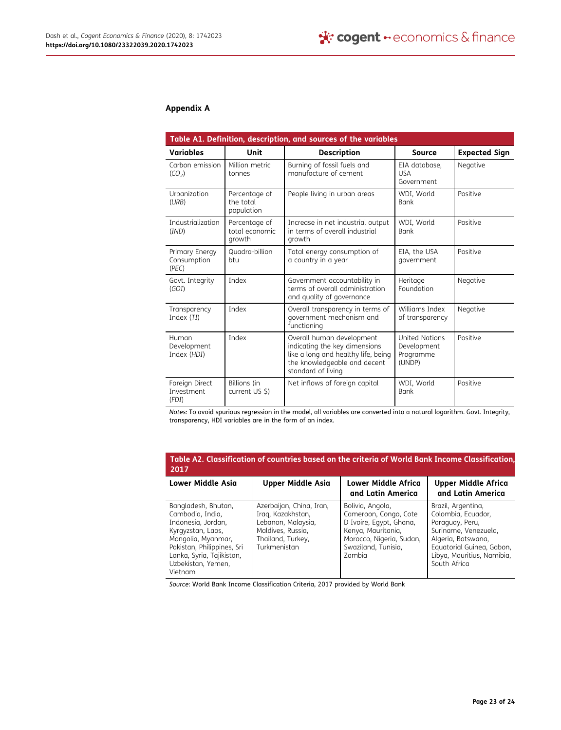# Appendix A

| Table A1. Definition, description, and sources of the variables |                                           |                                                                                                                                                         |                                                             |                      |  |
|-----------------------------------------------------------------|-------------------------------------------|---------------------------------------------------------------------------------------------------------------------------------------------------------|-------------------------------------------------------------|----------------------|--|
| Variables                                                       | Unit                                      | <b>Description</b>                                                                                                                                      | Source                                                      | <b>Expected Sign</b> |  |
| Carbon emission<br>(CO <sub>2</sub> )                           | Million metric<br>tonnes                  | Burning of fossil fuels and<br>manufacture of cement                                                                                                    | EIA database,<br><b>USA</b><br>Government                   | Negative             |  |
| Urbanization<br>(URB)                                           | Percentage of<br>the total<br>population  | People living in urban areas                                                                                                                            | WDI, World<br><b>Bank</b>                                   | Positive             |  |
| <b>Industrialization</b><br>(IND)                               | Percentage of<br>total economic<br>growth | Increase in net industrial output<br>in terms of overall industrial<br>growth                                                                           | WDI, World<br><b>Bank</b>                                   | Positive             |  |
| Primary Energy<br>Consumption<br>(PEC)                          | Quadra-billion<br>btu                     | Total energy consumption of<br>a country in a year                                                                                                      | EIA, the USA<br>government                                  | Positive             |  |
| Govt. Integrity<br>(GOI)                                        | Index                                     | Government accountability in<br>terms of overall administration<br>and quality of governance                                                            | Heritage<br>Foundation                                      | Negative             |  |
| Transparency<br>Index (TI)                                      | Index                                     | Overall transparency in terms of<br>government mechanism and<br>functioning                                                                             | Williams Index<br>of transparency                           | Negative             |  |
| Human<br>Development<br>Index (HDI)                             | Index                                     | Overall human development<br>indicating the key dimensions<br>like a long and healthy life, being<br>the knowledgeable and decent<br>standard of living | <b>United Nations</b><br>Development<br>Programme<br>(UNDP) | Positive             |  |
| Foreign Direct<br>Investment<br>(FDI)                           | Billions (in<br>current US \$)            | Net inflows of foreign capital                                                                                                                          | WDI, World<br><b>Bank</b>                                   | Positive             |  |

Notes: To avoid spurious regression in the model, all variables are converted into a natural logarithm. Govt. Integrity, transparency, HDI variables are in the form of an index.

| Table A2. Classification of countries based on the criteria of World Bank Income Classification,<br>2017                                                                                             |                                                                                                                               |                                                                                                                                                         |                                                                                                                                                                                      |  |  |
|------------------------------------------------------------------------------------------------------------------------------------------------------------------------------------------------------|-------------------------------------------------------------------------------------------------------------------------------|---------------------------------------------------------------------------------------------------------------------------------------------------------|--------------------------------------------------------------------------------------------------------------------------------------------------------------------------------------|--|--|
| <b>Lower Middle Asia</b>                                                                                                                                                                             | Upper Middle Asia                                                                                                             | Lower Middle Africa<br>and Latin America                                                                                                                | <b>Upper Middle Africa</b><br>and Latin America                                                                                                                                      |  |  |
| Bangladesh, Bhutan,<br>Cambodia, India,<br>Indonesia, Jordan,<br>Kyrgyzstan, Laos,<br>Mongolia, Myanmar,<br>Pakistan, Philippines, Sri<br>Lanka, Syria, Tajikistan,<br>Uzbekistan, Yemen,<br>Vietnam | Azerbaijan, China, Iran,<br>Irag, Kazakhstan,<br>Lebanon, Malaysia,<br>Maldives, Russia,<br>Thailand, Turkey,<br>Turkmenistan | Bolivia, Angola,<br>Cameroon, Congo, Cote<br>D Ivoire, Egypt, Ghana,<br>Kenya, Mauritania,<br>Morocco, Nigeria, Sudan,<br>Swaziland, Tunisia,<br>Zambia | Brazil, Argentina,<br>Colombia, Ecuador,<br>Paraguay, Peru,<br>Suriname, Venezuela,<br>Algeria, Botswana,<br>Equatorial Guinea, Gabon,<br>Libya, Mauritius, Namibia,<br>South Africa |  |  |

Source: World Bank Income Classification Criteria, 2017 provided by World Bank